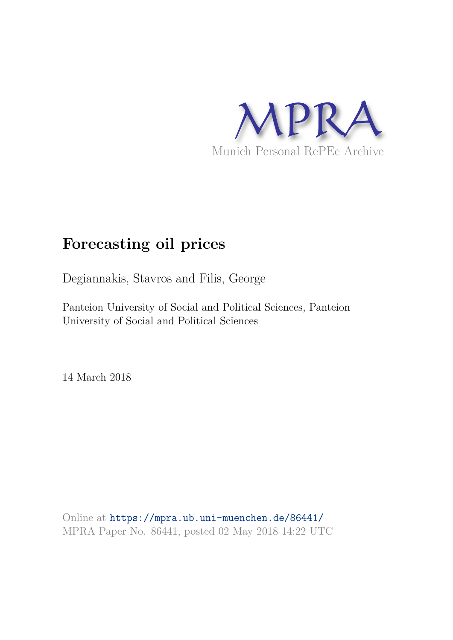

# **Forecasting oil prices**

Degiannakis, Stavros and Filis, George

Panteion University of Social and Political Sciences, Panteion University of Social and Political Sciences

14 March 2018

Online at https://mpra.ub.uni-muenchen.de/86441/ MPRA Paper No. 86441, posted 02 May 2018 14:22 UTC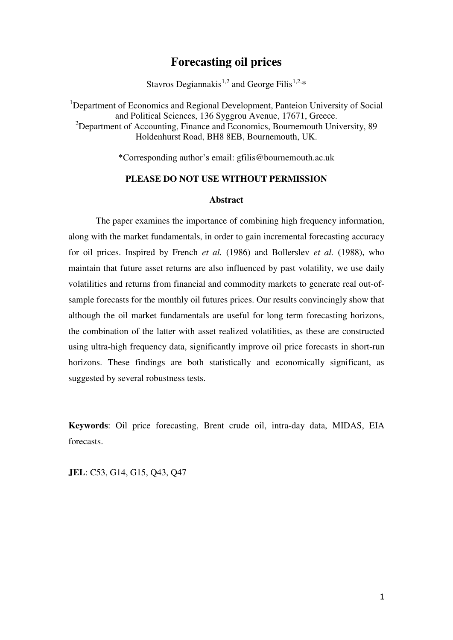## **Forecasting oil prices**

Stavros Degiannakis<sup>1,2</sup> and George Filis<sup>1,2,\*</sup>

<sup>1</sup>Department of Economics and Regional Development, Panteion University of Social and Political Sciences, 136 Syggrou Avenue, 17671, Greece.  $2$ Department of Accounting, Finance and Economics, Bournemouth University, 89 Holdenhurst Road, BH8 8EB, Bournemouth, UK.

\*Corresponding author's email: gfilis@bournemouth.ac.uk

#### **PLEASE DO NOT USE WITHOUT PERMISSION**

#### **Abstract**

The paper examines the importance of combining high frequency information, along with the market fundamentals, in order to gain incremental forecasting accuracy for oil prices. Inspired by French *et al.* (1986) and Bollerslev *et al.* (1988), who maintain that future asset returns are also influenced by past volatility, we use daily volatilities and returns from financial and commodity markets to generate real out-ofsample forecasts for the monthly oil futures prices. Our results convincingly show that although the oil market fundamentals are useful for long term forecasting horizons, the combination of the latter with asset realized volatilities, as these are constructed using ultra-high frequency data, significantly improve oil price forecasts in short-run horizons. These findings are both statistically and economically significant, as suggested by several robustness tests.

**Keywords**: Oil price forecasting, Brent crude oil, intra-day data, MIDAS, EIA forecasts.

**JEL**: C53, G14, G15, Q43, Q47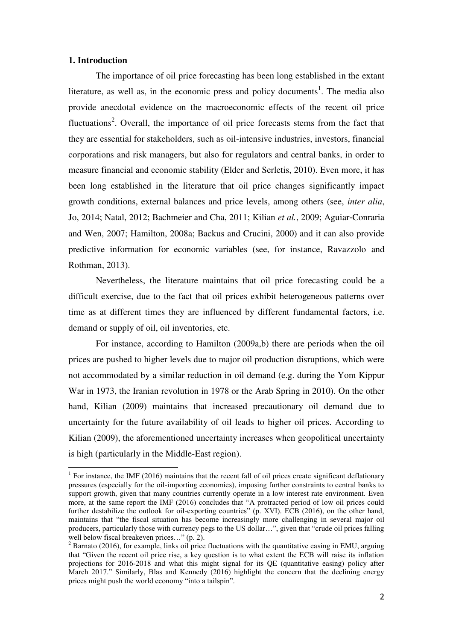#### **1. Introduction**

.

The importance of oil price forecasting has been long established in the extant literature, as well as, in the economic press and policy documents<sup>1</sup>. The media also provide anecdotal evidence on the macroeconomic effects of the recent oil price fluctuations<sup>2</sup>. Overall, the importance of oil price forecasts stems from the fact that they are essential for stakeholders, such as oil-intensive industries, investors, financial corporations and risk managers, but also for regulators and central banks, in order to measure financial and economic stability (Elder and Serletis, 2010). Even more, it has been long established in the literature that oil price changes significantly impact growth conditions, external balances and price levels, among others (see, *inter alia*, Jo, 2014; Natal, 2012; Bachmeier and Cha, 2011; Kilian *et al.*, 2009; Aguiar‐Conraria and Wen, 2007; Hamilton, 2008a; Backus and Crucini, 2000) and it can also provide predictive information for economic variables (see, for instance, Ravazzolo and Rothman, 2013).

Nevertheless, the literature maintains that oil price forecasting could be a difficult exercise, due to the fact that oil prices exhibit heterogeneous patterns over time as at different times they are influenced by different fundamental factors, i.e. demand or supply of oil, oil inventories, etc.

For instance, according to Hamilton (2009a,b) there are periods when the oil prices are pushed to higher levels due to major oil production disruptions, which were not accommodated by a similar reduction in oil demand (e.g. during the Yom Kippur War in 1973, the Iranian revolution in 1978 or the Arab Spring in 2010). On the other hand, Kilian (2009) maintains that increased precautionary oil demand due to uncertainty for the future availability of oil leads to higher oil prices. According to Kilian (2009), the aforementioned uncertainty increases when geopolitical uncertainty is high (particularly in the Middle-East region).

<sup>&</sup>lt;sup>1</sup> For instance, the IMF (2016) maintains that the recent fall of oil prices create significant deflationary pressures (especially for the oil-importing economies), imposing further constraints to central banks to support growth, given that many countries currently operate in a low interest rate environment. Even more, at the same report the IMF (2016) concludes that "A protracted period of low oil prices could further destabilize the outlook for oil-exporting countries" (p. XVI). ECB (2016), on the other hand, maintains that "the fiscal situation has become increasingly more challenging in several major oil producers, particularly those with currency pegs to the US dollar…", given that "crude oil prices falling well below fiscal breakeven prices..."  $(p, 2)$ .

 $2^2$  Barnato (2016), for example, links oil price fluctuations with the quantitative easing in EMU, arguing that "Given the recent oil price rise, a key question is to what extent the ECB will raise its inflation projections for 2016-2018 and what this might signal for its QE (quantitative easing) policy after March 2017." Similarly, Blas and Kennedy (2016) highlight the concern that the declining energy prices might push the world economy "into a tailspin".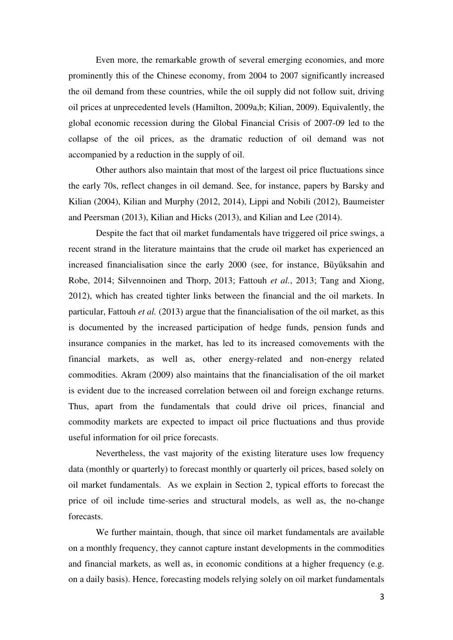Even more, the remarkable growth of several emerging economies, and more prominently this of the Chinese economy, from 2004 to 2007 significantly increased the oil demand from these countries, while the oil supply did not follow suit, driving oil prices at unprecedented levels (Hamilton, 2009a,b; Kilian, 2009). Equivalently, the global economic recession during the Global Financial Crisis of 2007-09 led to the collapse of the oil prices, as the dramatic reduction of oil demand was not accompanied by a reduction in the supply of oil.

Other authors also maintain that most of the largest oil price fluctuations since the early 70s, reflect changes in oil demand. See, for instance, papers by Barsky and Kilian (2004), Kilian and Murphy (2012, 2014), Lippi and Nobili (2012), Baumeister and Peersman (2013), Kilian and Hicks (2013), and Kilian and Lee (2014).

Despite the fact that oil market fundamentals have triggered oil price swings, a recent strand in the literature maintains that the crude oil market has experienced an increased financialisation since the early 2000 (see, for instance, Büyüksahin and Robe, 2014; Silvennoinen and Thorp, 2013; Fattouh *et al.*, 2013; Tang and Xiong, 2012), which has created tighter links between the financial and the oil markets. In particular, Fattouh *et al.* (2013) argue that the financialisation of the oil market, as this is documented by the increased participation of hedge funds, pension funds and insurance companies in the market, has led to its increased comovements with the financial markets, as well as, other energy-related and non-energy related commodities. Akram (2009) also maintains that the financialisation of the oil market is evident due to the increased correlation between oil and foreign exchange returns. Thus, apart from the fundamentals that could drive oil prices, financial and commodity markets are expected to impact oil price fluctuations and thus provide useful information for oil price forecasts.

Nevertheless, the vast majority of the existing literature uses low frequency data (monthly or quarterly) to forecast monthly or quarterly oil prices, based solely on oil market fundamentals. As we explain in Section 2, typical efforts to forecast the price of oil include time-series and structural models, as well as, the no-change forecasts.

We further maintain, though, that since oil market fundamentals are available on a monthly frequency, they cannot capture instant developments in the commodities and financial markets, as well as, in economic conditions at a higher frequency (e.g. on a daily basis). Hence, forecasting models relying solely on oil market fundamentals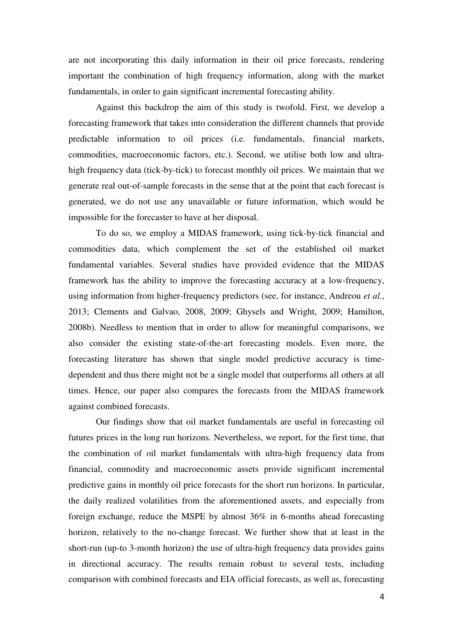are not incorporating this daily information in their oil price forecasts, rendering important the combination of high frequency information, along with the market fundamentals, in order to gain significant incremental forecasting ability.

Against this backdrop the aim of this study is twofold. First, we develop a forecasting framework that takes into consideration the different channels that provide predictable information to oil prices (i.e. fundamentals, financial markets, commodities, macroeconomic factors, etc.). Second, we utilise both low and ultrahigh frequency data (tick-by-tick) to forecast monthly oil prices. We maintain that we generate real out-of-sample forecasts in the sense that at the point that each forecast is generated, we do not use any unavailable or future information, which would be impossible for the forecaster to have at her disposal.

To do so, we employ a MIDAS framework, using tick-by-tick financial and commodities data, which complement the set of the established oil market fundamental variables. Several studies have provided evidence that the MIDAS framework has the ability to improve the forecasting accuracy at a low-frequency, using information from higher-frequency predictors (see, for instance, Andreou *et al.*, 2013; Clements and Galvao, 2008, 2009; Ghysels and Wright, 2009; Hamilton, 2008b). Needless to mention that in order to allow for meaningful comparisons, we also consider the existing state-of-the-art forecasting models. Even more, the forecasting literature has shown that single model predictive accuracy is timedependent and thus there might not be a single model that outperforms all others at all times. Hence, our paper also compares the forecasts from the MIDAS framework against combined forecasts.

Our findings show that oil market fundamentals are useful in forecasting oil futures prices in the long run horizons. Nevertheless, we report, for the first time, that the combination of oil market fundamentals with ultra-high frequency data from financial, commodity and macroeconomic assets provide significant incremental predictive gains in monthly oil price forecasts for the short run horizons. In particular, the daily realized volatilities from the aforementioned assets, and especially from foreign exchange, reduce the MSPE by almost 36% in 6-months ahead forecasting horizon, relatively to the no-change forecast. We further show that at least in the short-run (up-to 3-month horizon) the use of ultra-high frequency data provides gains in directional accuracy. The results remain robust to several tests, including comparison with combined forecasts and EIA official forecasts, as well as, forecasting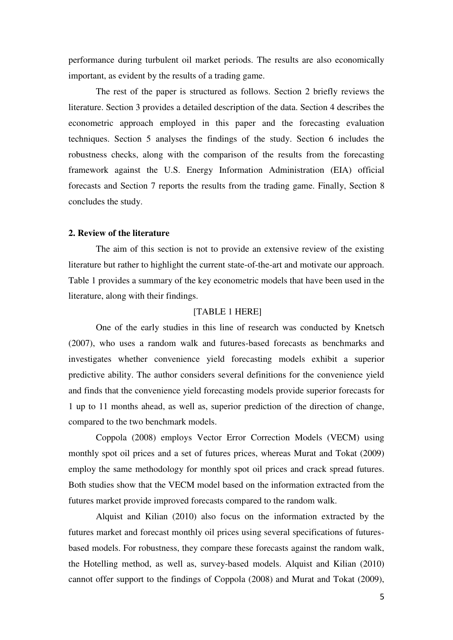performance during turbulent oil market periods. The results are also economically important, as evident by the results of a trading game.

The rest of the paper is structured as follows. Section 2 briefly reviews the literature. Section 3 provides a detailed description of the data. Section 4 describes the econometric approach employed in this paper and the forecasting evaluation techniques. Section 5 analyses the findings of the study. Section 6 includes the robustness checks, along with the comparison of the results from the forecasting framework against the U.S. Energy Information Administration (EIA) official forecasts and Section 7 reports the results from the trading game. Finally, Section 8 concludes the study.

#### **2. Review of the literature**

The aim of this section is not to provide an extensive review of the existing literature but rather to highlight the current state-of-the-art and motivate our approach. Table 1 provides a summary of the key econometric models that have been used in the literature, along with their findings.

#### [TABLE 1 HERE]

One of the early studies in this line of research was conducted by Knetsch (2007), who uses a random walk and futures-based forecasts as benchmarks and investigates whether convenience yield forecasting models exhibit a superior predictive ability. The author considers several definitions for the convenience yield and finds that the convenience yield forecasting models provide superior forecasts for 1 up to 11 months ahead, as well as, superior prediction of the direction of change, compared to the two benchmark models.

Coppola (2008) employs Vector Error Correction Models (VECM) using monthly spot oil prices and a set of futures prices, whereas Murat and Tokat (2009) employ the same methodology for monthly spot oil prices and crack spread futures. Both studies show that the VECM model based on the information extracted from the futures market provide improved forecasts compared to the random walk.

Alquist and Kilian (2010) also focus on the information extracted by the futures market and forecast monthly oil prices using several specifications of futuresbased models. For robustness, they compare these forecasts against the random walk, the Hotelling method, as well as, survey-based models. Alquist and Kilian (2010) cannot offer support to the findings of Coppola (2008) and Murat and Tokat (2009),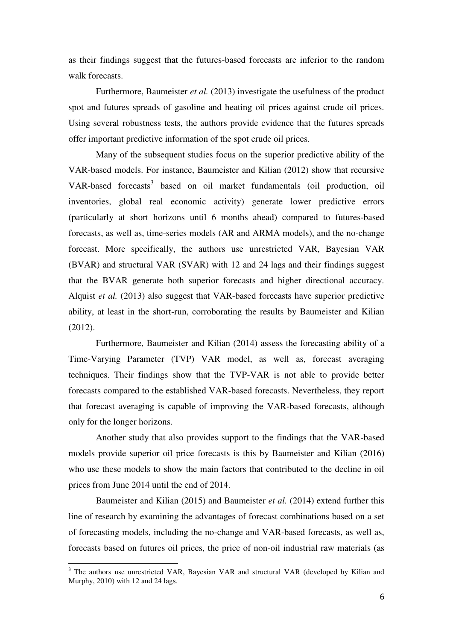as their findings suggest that the futures-based forecasts are inferior to the random walk forecasts.

Furthermore, Baumeister *et al.* (2013) investigate the usefulness of the product spot and futures spreads of gasoline and heating oil prices against crude oil prices. Using several robustness tests, the authors provide evidence that the futures spreads offer important predictive information of the spot crude oil prices.

Many of the subsequent studies focus on the superior predictive ability of the VAR-based models. For instance, Baumeister and Kilian (2012) show that recursive VAR-based forecasts<sup>3</sup> based on oil market fundamentals (oil production, oil inventories, global real economic activity) generate lower predictive errors (particularly at short horizons until 6 months ahead) compared to futures-based forecasts, as well as, time-series models (AR and ARMA models), and the no-change forecast. More specifically, the authors use unrestricted VAR, Bayesian VAR (BVAR) and structural VAR (SVAR) with 12 and 24 lags and their findings suggest that the BVAR generate both superior forecasts and higher directional accuracy. Alquist *et al.* (2013) also suggest that VAR-based forecasts have superior predictive ability, at least in the short-run, corroborating the results by Baumeister and Kilian (2012).

Furthermore, Baumeister and Kilian (2014) assess the forecasting ability of a Time-Varying Parameter (TVP) VAR model, as well as, forecast averaging techniques. Their findings show that the TVP-VAR is not able to provide better forecasts compared to the established VAR-based forecasts. Nevertheless, they report that forecast averaging is capable of improving the VAR-based forecasts, although only for the longer horizons.

Another study that also provides support to the findings that the VAR-based models provide superior oil price forecasts is this by Baumeister and Kilian (2016) who use these models to show the main factors that contributed to the decline in oil prices from June 2014 until the end of 2014.

Baumeister and Kilian (2015) and Baumeister *et al.* (2014) extend further this line of research by examining the advantages of forecast combinations based on a set of forecasting models, including the no-change and VAR-based forecasts, as well as, forecasts based on futures oil prices, the price of non-oil industrial raw materials (as

.

<sup>&</sup>lt;sup>3</sup> The authors use unrestricted VAR, Bayesian VAR and structural VAR (developed by Kilian and Murphy, 2010) with 12 and 24 lags.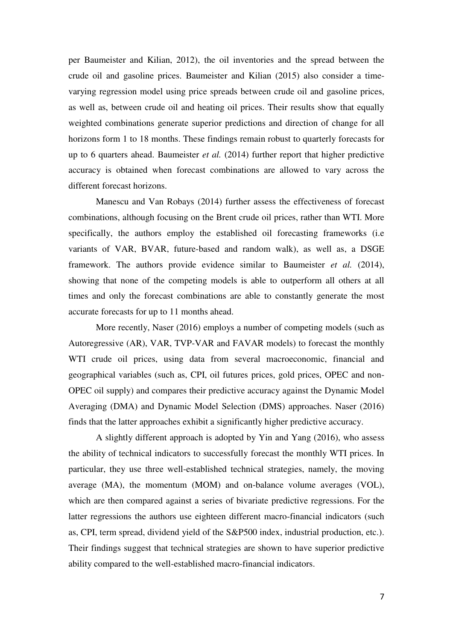per Baumeister and Kilian, 2012), the oil inventories and the spread between the crude oil and gasoline prices. Baumeister and Kilian (2015) also consider a timevarying regression model using price spreads between crude oil and gasoline prices, as well as, between crude oil and heating oil prices. Their results show that equally weighted combinations generate superior predictions and direction of change for all horizons form 1 to 18 months. These findings remain robust to quarterly forecasts for up to 6 quarters ahead. Baumeister *et al.* (2014) further report that higher predictive accuracy is obtained when forecast combinations are allowed to vary across the different forecast horizons.

Manescu and Van Robays (2014) further assess the effectiveness of forecast combinations, although focusing on the Brent crude oil prices, rather than WTI. More specifically, the authors employ the established oil forecasting frameworks (i.e variants of VAR, BVAR, future-based and random walk), as well as, a DSGE framework. The authors provide evidence similar to Baumeister *et al.* (2014), showing that none of the competing models is able to outperform all others at all times and only the forecast combinations are able to constantly generate the most accurate forecasts for up to 11 months ahead.

More recently, Naser (2016) employs a number of competing models (such as Autoregressive (AR), VAR, TVP-VAR and FAVAR models) to forecast the monthly WTI crude oil prices, using data from several macroeconomic, financial and geographical variables (such as, CPI, oil futures prices, gold prices, OPEC and non-OPEC oil supply) and compares their predictive accuracy against the Dynamic Model Averaging (DMA) and Dynamic Model Selection (DMS) approaches. Naser (2016) finds that the latter approaches exhibit a significantly higher predictive accuracy.

A slightly different approach is adopted by Yin and Yang (2016), who assess the ability of technical indicators to successfully forecast the monthly WTI prices. In particular, they use three well-established technical strategies, namely, the moving average (MA), the momentum (MOM) and on-balance volume averages (VOL), which are then compared against a series of bivariate predictive regressions. For the latter regressions the authors use eighteen different macro-financial indicators (such as, CPI, term spread, dividend yield of the S&P500 index, industrial production, etc.). Their findings suggest that technical strategies are shown to have superior predictive ability compared to the well-established macro-financial indicators.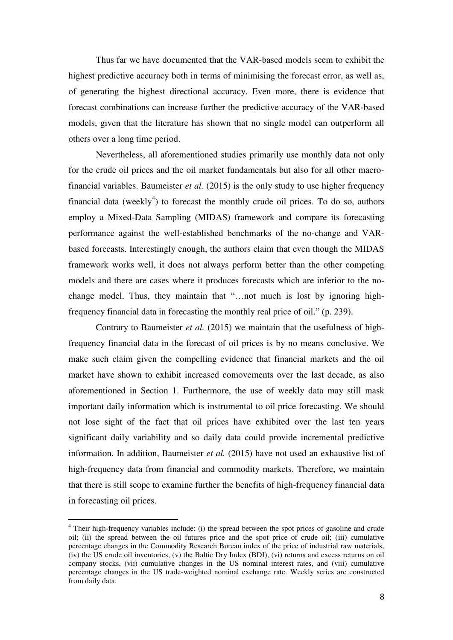Thus far we have documented that the VAR-based models seem to exhibit the highest predictive accuracy both in terms of minimising the forecast error, as well as, of generating the highest directional accuracy. Even more, there is evidence that forecast combinations can increase further the predictive accuracy of the VAR-based models, given that the literature has shown that no single model can outperform all others over a long time period.

Nevertheless, all aforementioned studies primarily use monthly data not only for the crude oil prices and the oil market fundamentals but also for all other macrofinancial variables. Baumeister *et al.* (2015) is the only study to use higher frequency financial data (weekly<sup>4</sup>) to forecast the monthly crude oil prices. To do so, authors employ a Mixed-Data Sampling (MIDAS) framework and compare its forecasting performance against the well-established benchmarks of the no-change and VARbased forecasts. Interestingly enough, the authors claim that even though the MIDAS framework works well, it does not always perform better than the other competing models and there are cases where it produces forecasts which are inferior to the nochange model. Thus, they maintain that "…not much is lost by ignoring highfrequency financial data in forecasting the monthly real price of oil." (p. 239).

Contrary to Baumeister *et al.* (2015) we maintain that the usefulness of highfrequency financial data in the forecast of oil prices is by no means conclusive. We make such claim given the compelling evidence that financial markets and the oil market have shown to exhibit increased comovements over the last decade, as also aforementioned in Section 1. Furthermore, the use of weekly data may still mask important daily information which is instrumental to oil price forecasting. We should not lose sight of the fact that oil prices have exhibited over the last ten years significant daily variability and so daily data could provide incremental predictive information. In addition, Baumeister *et al.* (2015) have not used an exhaustive list of high-frequency data from financial and commodity markets. Therefore, we maintain that there is still scope to examine further the benefits of high-frequency financial data in forecasting oil prices.

.

<sup>&</sup>lt;sup>4</sup> Their high-frequency variables include: (i) the spread between the spot prices of gasoline and crude oil; (ii) the spread between the oil futures price and the spot price of crude oil; (iii) cumulative percentage changes in the Commodity Research Bureau index of the price of industrial raw materials, (iv) the US crude oil inventories, (v) the Baltic Dry Index (BDI), (vi) returns and excess returns on oil company stocks, (vii) cumulative changes in the US nominal interest rates, and (viii) cumulative percentage changes in the US trade-weighted nominal exchange rate. Weekly series are constructed from daily data.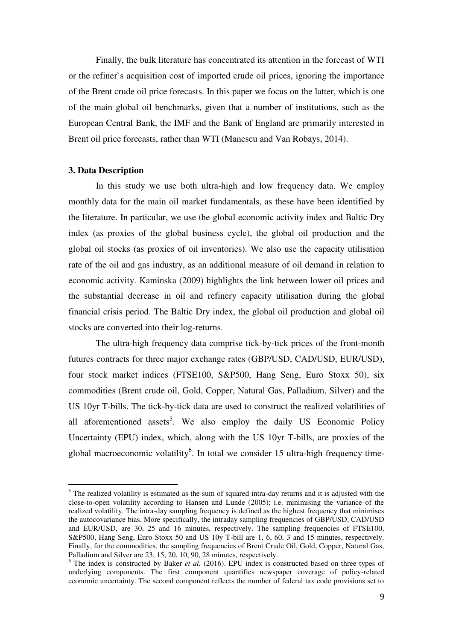Finally, the bulk literature has concentrated its attention in the forecast of WTI or the refiner`s acquisition cost of imported crude oil prices, ignoring the importance of the Brent crude oil price forecasts. In this paper we focus on the latter, which is one of the main global oil benchmarks, given that a number of institutions, such as the European Central Bank, the IMF and the Bank of England are primarily interested in Brent oil price forecasts, rather than WTI (Manescu and Van Robays, 2014).

#### **3. Data Description**

.

 In this study we use both ultra-high and low frequency data. We employ monthly data for the main oil market fundamentals, as these have been identified by the literature. In particular, we use the global economic activity index and Baltic Dry index (as proxies of the global business cycle), the global oil production and the global oil stocks (as proxies of oil inventories). We also use the capacity utilisation rate of the oil and gas industry, as an additional measure of oil demand in relation to economic activity. Kaminska (2009) highlights the link between lower oil prices and the substantial decrease in oil and refinery capacity utilisation during the global financial crisis period. The Baltic Dry index, the global oil production and global oil stocks are converted into their log-returns.

The ultra-high frequency data comprise tick-by-tick prices of the front-month futures contracts for three major exchange rates (GBP/USD, CAD/USD, EUR/USD), four stock market indices (FTSE100, S&P500, Hang Seng, Euro Stoxx 50), six commodities (Brent crude oil, Gold, Copper, Natural Gas, Palladium, Silver) and the US 10yr T-bills. The tick-by-tick data are used to construct the realized volatilities of all aforementioned assets<sup>5</sup>. We also employ the daily US Economic Policy Uncertainty (EPU) index, which, along with the US 10yr T-bills, are proxies of the global macroeconomic volatility<sup>6</sup>. In total we consider 15 ultra-high frequency time-

<sup>&</sup>lt;sup>5</sup> The realized volatility is estimated as the sum of squared intra-day returns and it is adjusted with the close-to-open volatility according to Hansen and Lunde (2005); i.e. minimising the variance of the realized volatility. The intra-day sampling frequency is defined as the highest frequency that minimises the autocovariance bias. More specifically, the intraday sampling frequencies of GBP/USD, CAD/USD and EUR/USD, are 30, 25 and 16 minutes, respectively. The sampling frequencies of FTSE100, S&P500, Hang Seng, Euro Stoxx 50 and US 10y T-bill are 1, 6, 60, 3 and 15 minutes, respectively. Finally, for the commodities, the sampling frequencies of Brent Crude Oil, Gold, Copper, Natural Gas, Palladium and Silver are 23, 15, 20, 10, 90, 28 minutes, respectively.

<sup>&</sup>lt;sup>6</sup> The index is constructed by Baker *et al.* (2016). EPU index is constructed based on three types of underlying components. The first component quantifies newspaper coverage of policy-related economic uncertainty. The second component reflects the number of federal tax code provisions set to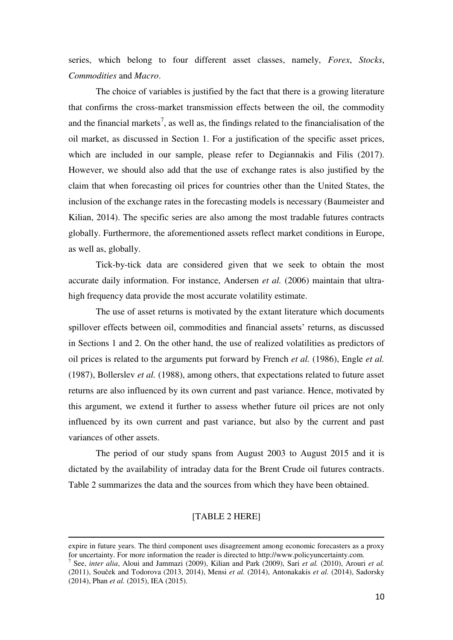series, which belong to four different asset classes, namely, *Forex*, *Stocks*, *Commodities* and *Macro*.

The choice of variables is justified by the fact that there is a growing literature that confirms the cross-market transmission effects between the oil, the commodity and the financial markets<sup>7</sup>, as well as, the findings related to the financialisation of the oil market, as discussed in Section 1. For a justification of the specific asset prices, which are included in our sample, please refer to Degiannakis and Filis (2017). However, we should also add that the use of exchange rates is also justified by the claim that when forecasting oil prices for countries other than the United States, the inclusion of the exchange rates in the forecasting models is necessary (Baumeister and Kilian, 2014). The specific series are also among the most tradable futures contracts globally. Furthermore, the aforementioned assets reflect market conditions in Europe, as well as, globally.

Tick-by-tick data are considered given that we seek to obtain the most accurate daily information. For instance, Andersen *et al.* (2006) maintain that ultrahigh frequency data provide the most accurate volatility estimate.

The use of asset returns is motivated by the extant literature which documents spillover effects between oil, commodities and financial assets' returns, as discussed in Sections 1 and 2. On the other hand, the use of realized volatilities as predictors of oil prices is related to the arguments put forward by French *et al.* (1986), Engle *et al.* (1987), Bollerslev *et al.* (1988), among others, that expectations related to future asset returns are also influenced by its own current and past variance. Hence, motivated by this argument, we extend it further to assess whether future oil prices are not only influenced by its own current and past variance, but also by the current and past variances of other assets.

The period of our study spans from August 2003 to August 2015 and it is dictated by the availability of intraday data for the Brent Crude oil futures contracts. Table 2 summarizes the data and the sources from which they have been obtained.

#### [TABLE 2 HERE]

.

expire in future years. The third component uses disagreement among economic forecasters as a proxy for uncertainty. For more information the reader is directed to http://www.policyuncertainty.com.

<sup>7</sup> See, *inter alia*, Aloui and Jammazi (2009), Kilian and Park (2009), Sari *et al.* (2010), Arouri *et al.* (2011), Souček and Todorova (2013, 2014), Mensi *et al.* (2014), Antonakakis *et al.* (2014), Sadorsky (2014), Phan *et al.* (2015), IEA (2015).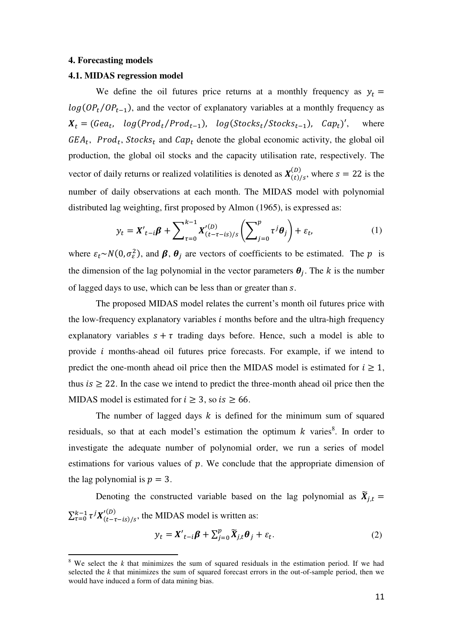#### **4. Forecasting models**

.

#### **4.1. MIDAS regression model**

We define the oil futures price returns at a monthly frequency as  $y_t =$  $log(OP_t/OP_{t-1})$ , and the vector of explanatory variables at a monthly frequency as  $X_t = ( \text{Ge} a_t, \text{ log} (\text{Prod}_t / \text{Prod}_{t-1}), \text{ log} (\text{Stocks}_t / \text{Stocks}_{t-1})$ where  $GEA_t$ ,  $Prod_t$ ,  $Stocks_t$  and  $Cap_t$  denote the global economic activity, the global oil production, the global oil stocks and the capacity utilisation rate, respectively. The vector of daily returns or realized volatilities is denoted as  $X_{(t)/s}^{(D)}$ , where  $s = 22$  is the number of daily observations at each month. The MIDAS model with polynomial distributed lag weighting, first proposed by Almon (1965), is expressed as:

$$
y_t = X'_{t-i}\beta + \sum_{\tau=0}^{k-1} X'^{(D)}_{(t-\tau-is)/s} \left( \sum_{j=0}^p \tau^j \theta_j \right) + \varepsilon_t,
$$
 (1)

where  $\varepsilon_t \sim N(0, \sigma_{\varepsilon}^2)$ , and  $\beta$ ,  $\theta_j$  are vectors of coefficients to be estimated. The p is the dimension of the lag polynomial in the vector parameters  $\theta_i$ . The k is the number of lagged days to use, which can be less than or greater than s.

The proposed MIDAS model relates the current's month oil futures price with the low-frequency explanatory variables  $i$  months before and the ultra-high frequency explanatory variables  $s + \tau$  trading days before. Hence, such a model is able to provide  $i$  months-ahead oil futures price forecasts. For example, if we intend to predict the one-month ahead oil price then the MIDAS model is estimated for  $i \ge 1$ , thus  $is \geq 22$ . In the case we intend to predict the three-month ahead oil price then the MIDAS model is estimated for  $i \geq 3$ , so  $is \geq 66$ .

The number of lagged days  $k$  is defined for the minimum sum of squared residuals, so that at each model's estimation the optimum  $k$  varies<sup>8</sup>. In order to investigate the adequate number of polynomial order, we run a series of model estimations for various values of  $p$ . We conclude that the appropriate dimension of the lag polynomial is  $p = 3$ .

Denoting the constructed variable based on the lag polynomial as  $\widetilde{X}_{i,t}$  =  $\sum_{\tau=0}^{k-1} \tau^j X_{(t-\tau-is)/s}^{(D)}$ , the MIDAS model is written as:

$$
y_t = \mathbf{X'}_{t-i}\boldsymbol{\beta} + \sum_{j=0}^p \widetilde{\mathbf{X}}_{j,t}\boldsymbol{\theta}_j + \varepsilon_t.
$$
 (2)

<sup>&</sup>lt;sup>8</sup> We select the *k* that minimizes the sum of squared residuals in the estimation period. If we had selected the  $k$  that minimizes the sum of squared forecast errors in the out-of-sample period, then we would have induced a form of data mining bias.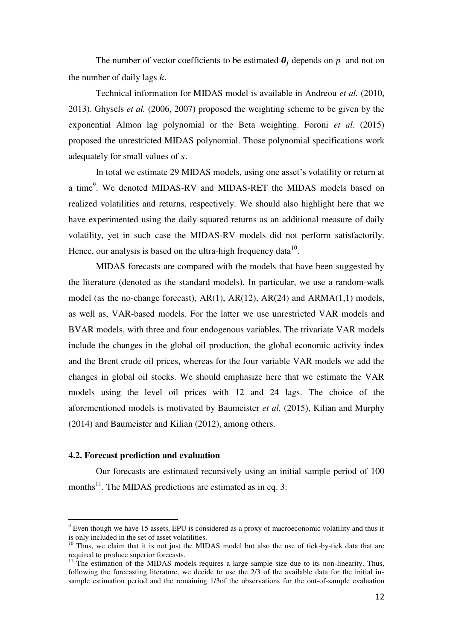The number of vector coefficients to be estimated  $\theta_i$  depends on p and not on the number of daily lags  $k$ .

Technical information for MIDAS model is available in Andreou *et al.* (2010, 2013). Ghysels *et al.* (2006, 2007) proposed the weighting scheme to be given by the exponential Almon lag polynomial or the Beta weighting. Foroni *et al.* (2015) proposed the unrestricted MIDAS polynomial. Those polynomial specifications work adequately for small values of s.

In total we estimate 29 MIDAS models, using one asset's volatility or return at a time<sup>9</sup>. We denoted MIDAS-RV and MIDAS-RET the MIDAS models based on realized volatilities and returns, respectively. We should also highlight here that we have experimented using the daily squared returns as an additional measure of daily volatility, yet in such case the MIDAS-RV models did not perform satisfactorily. Hence, our analysis is based on the ultra-high frequency data $^{10}$ .

MIDAS forecasts are compared with the models that have been suggested by the literature (denoted as the standard models). In particular, we use a random-walk model (as the no-change forecast), AR(1), AR(12), AR(24) and ARMA(1,1) models, as well as, VAR-based models. For the latter we use unrestricted VAR models and BVAR models, with three and four endogenous variables. The trivariate VAR models include the changes in the global oil production, the global economic activity index and the Brent crude oil prices, whereas for the four variable VAR models we add the changes in global oil stocks. We should emphasize here that we estimate the VAR models using the level oil prices with 12 and 24 lags. The choice of the aforementioned models is motivated by Baumeister *et al.* (2015), Kilian and Murphy (2014) and Baumeister and Kilian (2012), among others.

#### **4.2. Forecast prediction and evaluation**

.

 Our forecasts are estimated recursively using an initial sample period of 100 months<sup>11</sup>. The MIDAS predictions are estimated as in eq. 3:

<sup>&</sup>lt;sup>9</sup> Even though we have 15 assets, EPU is considered as a proxy of macroeconomic volatility and thus it is only included in the set of asset volatilities.

 $10$  Thus, we claim that it is not just the MIDAS model but also the use of tick-by-tick data that are required to produce superior forecasts.

<sup>&</sup>lt;sup>11</sup> The estimation of the MIDAS models requires a large sample size due to its non-linearity. Thus, following the forecasting literature, we decide to use the 2/3 of the available data for the initial insample estimation period and the remaining 1/3of the observations for the out-of-sample evaluation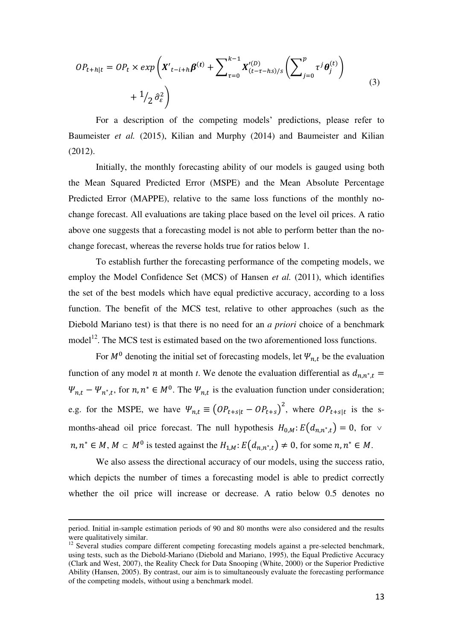$$
OP_{t+h|t} = OP_t \times exp\left(X'_{t-i+h}\beta^{(t)} + \sum_{\tau=0}^{k-1} X'^{(D)}_{(t-\tau-hs)/s} \left(\sum_{j=0}^p \tau^j \theta_j^{(t)}\right) + 1/2 \hat{\sigma}_{\varepsilon}^2\right)
$$
\n
$$
(3)
$$

For a description of the competing models' predictions, please refer to Baumeister *et al.* (2015), Kilian and Murphy (2014) and Baumeister and Kilian (2012).

 Initially, the monthly forecasting ability of our models is gauged using both the Mean Squared Predicted Error (MSPE) and the Mean Absolute Percentage Predicted Error (MAPPE), relative to the same loss functions of the monthly nochange forecast. All evaluations are taking place based on the level oil prices. A ratio above one suggests that a forecasting model is not able to perform better than the nochange forecast, whereas the reverse holds true for ratios below 1.

 To establish further the forecasting performance of the competing models, we employ the Model Confidence Set (MCS) of Hansen *et al.* (2011), which identifies the set of the best models which have equal predictive accuracy, according to a loss function. The benefit of the MCS test, relative to other approaches (such as the Diebold Mariano test) is that there is no need for an *a priori* choice of a benchmark model<sup>12</sup>. The MCS test is estimated based on the two aforementioned loss functions.

For  $M^0$  denoting the initial set of forecasting models, let  $\Psi_{n,t}$  be the evaluation function of any model *n* at month *t*. We denote the evaluation differential as  $d_{n,n^*}$ ,  $\Psi_{n,t} - \Psi_{n^*,t}$ , for  $n, n^* \in M^0$ . The  $\Psi_{n,t}$  is the evaluation function under consideration; e.g. for the MSPE, we have  $\Psi_{n,t} \equiv (OP_{t+s|t} - OP_{t+s})^2$ , where  $OP_{t+s|t}$  is the smonths-ahead oil price forecast. The null hypothesis  $H_{0,M}$ :  $E(d_{n,n^*t}) = 0$ , for  $\vee$  $n, n^* \in M$ ,  $M \subset M^0$  is tested against the  $H_{1,M}$ :  $E(d_{n,n^* , t}) \neq 0$ , for some  $n, n^* \in M$ .

We also assess the directional accuracy of our models, using the success ratio, which depicts the number of times a forecasting model is able to predict correctly whether the oil price will increase or decrease. A ratio below 0.5 denotes no

.

period. Initial in-sample estimation periods of 90 and 80 months were also considered and the results were qualitatively similar.

<sup>&</sup>lt;sup>12</sup> Several studies compare different competing forecasting models against a pre-selected benchmark, using tests, such as the Diebold-Mariano (Diebold and Mariano, 1995), the Equal Predictive Accuracy (Clark and West, 2007), the Reality Check for Data Snooping (White, 2000) or the Superior Predictive Ability (Hansen, 2005). By contrast, our aim is to simultaneously evaluate the forecasting performance of the competing models, without using a benchmark model.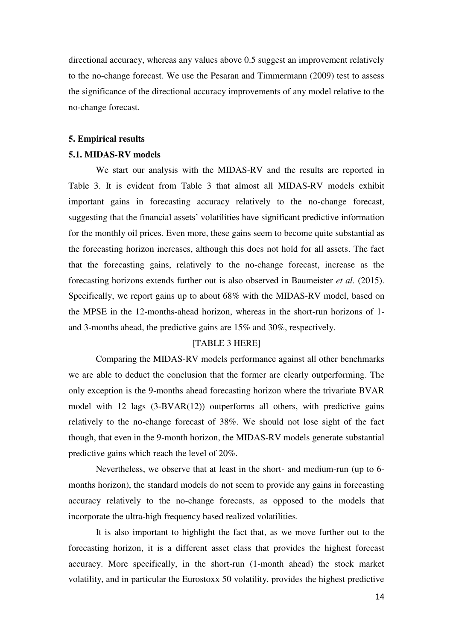directional accuracy, whereas any values above 0.5 suggest an improvement relatively to the no-change forecast. We use the Pesaran and Timmermann (2009) test to assess the significance of the directional accuracy improvements of any model relative to the no-change forecast.

#### **5. Empirical results**

#### **5.1. MIDAS-RV models**

We start our analysis with the MIDAS-RV and the results are reported in Table 3. It is evident from Table 3 that almost all MIDAS-RV models exhibit important gains in forecasting accuracy relatively to the no-change forecast, suggesting that the financial assets' volatilities have significant predictive information for the monthly oil prices. Even more, these gains seem to become quite substantial as the forecasting horizon increases, although this does not hold for all assets. The fact that the forecasting gains, relatively to the no-change forecast, increase as the forecasting horizons extends further out is also observed in Baumeister *et al.* (2015). Specifically, we report gains up to about 68% with the MIDAS-RV model, based on the MPSE in the 12-months-ahead horizon, whereas in the short-run horizons of 1 and 3-months ahead, the predictive gains are 15% and 30%, respectively.

#### [TABLE 3 HERE]

 Comparing the MIDAS-RV models performance against all other benchmarks we are able to deduct the conclusion that the former are clearly outperforming. The only exception is the 9-months ahead forecasting horizon where the trivariate BVAR model with 12 lags (3-BVAR(12)) outperforms all others, with predictive gains relatively to the no-change forecast of 38%. We should not lose sight of the fact though, that even in the 9-month horizon, the MIDAS-RV models generate substantial predictive gains which reach the level of 20%.

Nevertheless, we observe that at least in the short- and medium-run (up to 6 months horizon), the standard models do not seem to provide any gains in forecasting accuracy relatively to the no-change forecasts, as opposed to the models that incorporate the ultra-high frequency based realized volatilities.

It is also important to highlight the fact that, as we move further out to the forecasting horizon, it is a different asset class that provides the highest forecast accuracy. More specifically, in the short-run (1-month ahead) the stock market volatility, and in particular the Eurostoxx 50 volatility, provides the highest predictive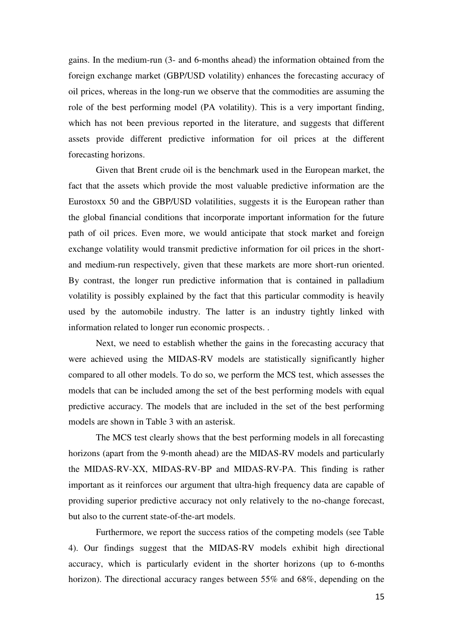gains. In the medium-run (3- and 6-months ahead) the information obtained from the foreign exchange market (GBP/USD volatility) enhances the forecasting accuracy of oil prices, whereas in the long-run we observe that the commodities are assuming the role of the best performing model (PA volatility). This is a very important finding, which has not been previous reported in the literature, and suggests that different assets provide different predictive information for oil prices at the different forecasting horizons.

Given that Brent crude oil is the benchmark used in the European market, the fact that the assets which provide the most valuable predictive information are the Eurostoxx 50 and the GBP/USD volatilities, suggests it is the European rather than the global financial conditions that incorporate important information for the future path of oil prices. Even more, we would anticipate that stock market and foreign exchange volatility would transmit predictive information for oil prices in the shortand medium-run respectively, given that these markets are more short-run oriented. By contrast, the longer run predictive information that is contained in palladium volatility is possibly explained by the fact that this particular commodity is heavily used by the automobile industry. The latter is an industry tightly linked with information related to longer run economic prospects. .

Next, we need to establish whether the gains in the forecasting accuracy that were achieved using the MIDAS-RV models are statistically significantly higher compared to all other models. To do so, we perform the MCS test, which assesses the models that can be included among the set of the best performing models with equal predictive accuracy. The models that are included in the set of the best performing models are shown in Table 3 with an asterisk.

The MCS test clearly shows that the best performing models in all forecasting horizons (apart from the 9-month ahead) are the MIDAS-RV models and particularly the MIDAS-RV-XX, MIDAS-RV-BP and MIDAS-RV-PA. This finding is rather important as it reinforces our argument that ultra-high frequency data are capable of providing superior predictive accuracy not only relatively to the no-change forecast, but also to the current state-of-the-art models.

Furthermore, we report the success ratios of the competing models (see Table 4). Our findings suggest that the MIDAS-RV models exhibit high directional accuracy, which is particularly evident in the shorter horizons (up to 6-months horizon). The directional accuracy ranges between 55% and 68%, depending on the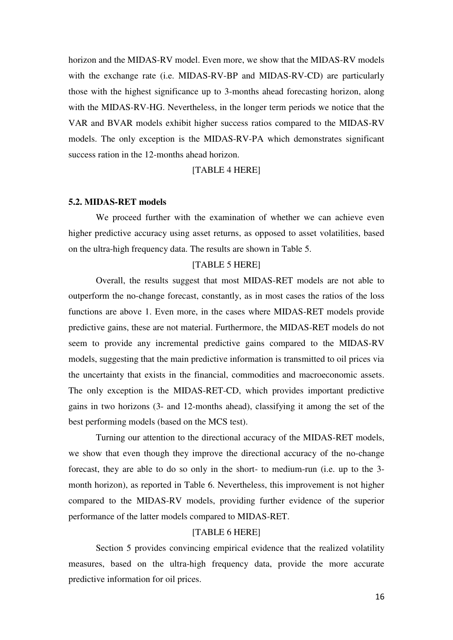horizon and the MIDAS-RV model. Even more, we show that the MIDAS-RV models with the exchange rate (i.e. MIDAS-RV-BP and MIDAS-RV-CD) are particularly those with the highest significance up to 3-months ahead forecasting horizon, along with the MIDAS-RV-HG. Nevertheless, in the longer term periods we notice that the VAR and BVAR models exhibit higher success ratios compared to the MIDAS-RV models. The only exception is the MIDAS-RV-PA which demonstrates significant success ration in the 12-months ahead horizon.

#### [TABLE 4 HERE]

#### **5.2. MIDAS-RET models**

We proceed further with the examination of whether we can achieve even higher predictive accuracy using asset returns, as opposed to asset volatilities, based on the ultra-high frequency data. The results are shown in Table 5.

#### [TABLE 5 HERE]

 Overall, the results suggest that most MIDAS-RET models are not able to outperform the no-change forecast, constantly, as in most cases the ratios of the loss functions are above 1. Even more, in the cases where MIDAS-RET models provide predictive gains, these are not material. Furthermore, the MIDAS-RET models do not seem to provide any incremental predictive gains compared to the MIDAS-RV models, suggesting that the main predictive information is transmitted to oil prices via the uncertainty that exists in the financial, commodities and macroeconomic assets. The only exception is the MIDAS-RET-CD, which provides important predictive gains in two horizons (3- and 12-months ahead), classifying it among the set of the best performing models (based on the MCS test).

 Turning our attention to the directional accuracy of the MIDAS-RET models, we show that even though they improve the directional accuracy of the no-change forecast, they are able to do so only in the short- to medium-run (i.e. up to the 3 month horizon), as reported in Table 6. Nevertheless, this improvement is not higher compared to the MIDAS-RV models, providing further evidence of the superior performance of the latter models compared to MIDAS-RET.

#### [TABLE 6 HERE]

Section 5 provides convincing empirical evidence that the realized volatility measures, based on the ultra-high frequency data, provide the more accurate predictive information for oil prices.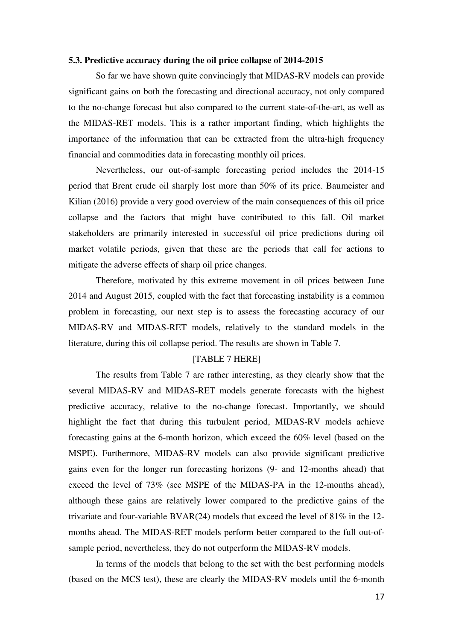#### **5.3. Predictive accuracy during the oil price collapse of 2014-2015**

 So far we have shown quite convincingly that MIDAS-RV models can provide significant gains on both the forecasting and directional accuracy, not only compared to the no-change forecast but also compared to the current state-of-the-art, as well as the MIDAS-RET models. This is a rather important finding, which highlights the importance of the information that can be extracted from the ultra-high frequency financial and commodities data in forecasting monthly oil prices.

 Nevertheless, our out-of-sample forecasting period includes the 2014-15 period that Brent crude oil sharply lost more than 50% of its price. Baumeister and Kilian (2016) provide a very good overview of the main consequences of this oil price collapse and the factors that might have contributed to this fall. Oil market stakeholders are primarily interested in successful oil price predictions during oil market volatile periods, given that these are the periods that call for actions to mitigate the adverse effects of sharp oil price changes.

Therefore, motivated by this extreme movement in oil prices between June 2014 and August 2015, coupled with the fact that forecasting instability is a common problem in forecasting, our next step is to assess the forecasting accuracy of our MIDAS-RV and MIDAS-RET models, relatively to the standard models in the literature, during this oil collapse period. The results are shown in Table 7.

#### [TABLE 7 HERE]

 The results from Table 7 are rather interesting, as they clearly show that the several MIDAS-RV and MIDAS-RET models generate forecasts with the highest predictive accuracy, relative to the no-change forecast. Importantly, we should highlight the fact that during this turbulent period, MIDAS-RV models achieve forecasting gains at the 6-month horizon, which exceed the 60% level (based on the MSPE). Furthermore, MIDAS-RV models can also provide significant predictive gains even for the longer run forecasting horizons (9- and 12-months ahead) that exceed the level of 73% (see MSPE of the MIDAS-PA in the 12-months ahead), although these gains are relatively lower compared to the predictive gains of the trivariate and four-variable BVAR(24) models that exceed the level of 81% in the 12 months ahead. The MIDAS-RET models perform better compared to the full out-ofsample period, nevertheless, they do not outperform the MIDAS-RV models.

In terms of the models that belong to the set with the best performing models (based on the MCS test), these are clearly the MIDAS-RV models until the 6-month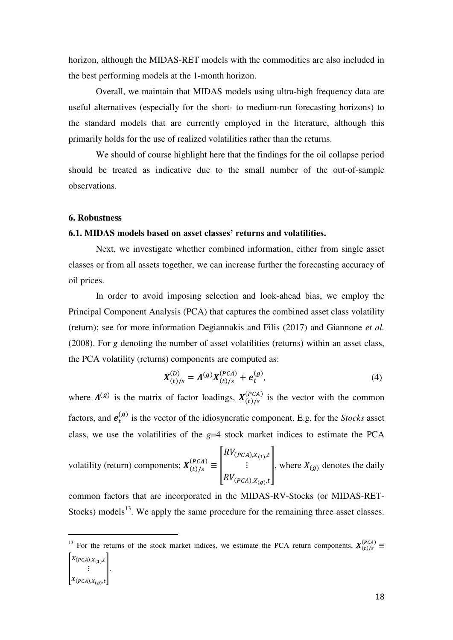horizon, although the MIDAS-RET models with the commodities are also included in the best performing models at the 1-month horizon.

Overall, we maintain that MIDAS models using ultra-high frequency data are useful alternatives (especially for the short- to medium-run forecasting horizons) to the standard models that are currently employed in the literature, although this primarily holds for the use of realized volatilities rather than the returns.

We should of course highlight here that the findings for the oil collapse period should be treated as indicative due to the small number of the out-of-sample observations.

#### **6. Robustness**

.

#### **6.1. MIDAS models based on asset classes' returns and volatilities.**

Next, we investigate whether combined information, either from single asset classes or from all assets together, we can increase further the forecasting accuracy of oil prices.

In order to avoid imposing selection and look-ahead bias, we employ the Principal Component Analysis (PCA) that captures the combined asset class volatility (return); see for more information Degiannakis and Filis (2017) and Giannone *et al.* (2008). For *g* denoting the number of asset volatilities (returns) within an asset class, the PCA volatility (returns) components are computed as:

$$
X_{(t)/s}^{(D)} = \Lambda^{(g)} X_{(t)/s}^{(PCA)} + e_t^{(g)}, \tag{4}
$$

where  $\Lambda^{(g)}$  is the matrix of factor loadings,  $X_{(t)/s}^{(PCA)}$  is the vector with the common factors, and  $e_t^{(g)}$  is the vector of the idiosyncratic component. E.g. for the *Stocks* asset class, we use the volatilities of the *g*=4 stock market indices to estimate the PCA

volatility (return) components;  $\mathbf{X}_{(t)/s}^{(PCA)} \equiv \begin{bmatrix} RV_{(PCA),X_{(1)},t} \\ \vdots \\ RV_{(PCA),X_{(g)},t} \end{bmatrix}$ , where  $X_{(g)}$  denotes the daily

common factors that are incorporated in the MIDAS-RV-Stocks (or MIDAS-RET-Stocks) models<sup>13</sup>. We apply the same procedure for the remaining three asset classes.

<sup>&</sup>lt;sup>13</sup> For the returns of the stock market indices, we estimate the PCA return components,  $X_{(t)/s}^{(PCA)} \equiv$  $\mathsf{l}$  $x_{(PCA),X_{(1)}},$  $: \mathcal{X}_{(PCA), X_{(g)}, t}$ .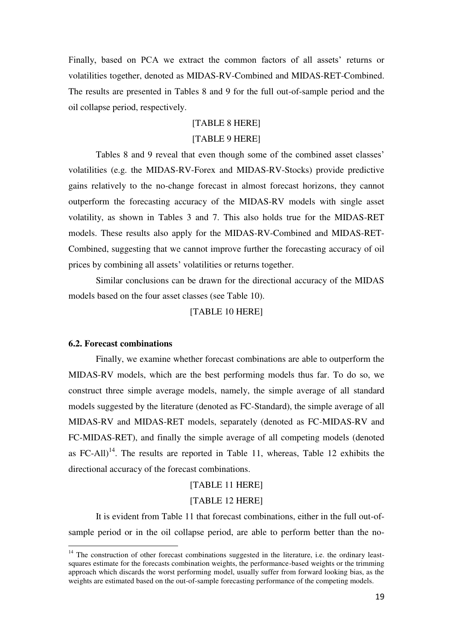Finally, based on PCA we extract the common factors of all assets' returns or volatilities together, denoted as MIDAS-RV-Combined and MIDAS-RET-Combined. The results are presented in Tables 8 and 9 for the full out-of-sample period and the oil collapse period, respectively.

#### [TABLE 8 HERE]

#### [TABLE 9 HERE]

 Tables 8 and 9 reveal that even though some of the combined asset classes' volatilities (e.g. the MIDAS-RV-Forex and MIDAS-RV-Stocks) provide predictive gains relatively to the no-change forecast in almost forecast horizons, they cannot outperform the forecasting accuracy of the MIDAS-RV models with single asset volatility, as shown in Tables 3 and 7. This also holds true for the MIDAS-RET models. These results also apply for the MIDAS-RV-Combined and MIDAS-RET-Combined, suggesting that we cannot improve further the forecasting accuracy of oil prices by combining all assets' volatilities or returns together.

 Similar conclusions can be drawn for the directional accuracy of the MIDAS models based on the four asset classes (see Table 10).

#### [TABLE 10 HERE]

#### **6.2. Forecast combinations**

.

 Finally, we examine whether forecast combinations are able to outperform the MIDAS-RV models, which are the best performing models thus far. To do so, we construct three simple average models, namely, the simple average of all standard models suggested by the literature (denoted as FC-Standard), the simple average of all MIDAS-RV and MIDAS-RET models, separately (denoted as FC-MIDAS-RV and FC-MIDAS-RET), and finally the simple average of all competing models (denoted as FC-All)<sup>14</sup>. The results are reported in Table 11, whereas, Table 12 exhibits the directional accuracy of the forecast combinations.

#### [TABLE 11 HERE]

#### [TABLE 12 HERE]

 It is evident from Table 11 that forecast combinations, either in the full out-ofsample period or in the oil collapse period, are able to perform better than the no-

 $14$  The construction of other forecast combinations suggested in the literature, i.e. the ordinary leastsquares estimate for the forecasts combination weights, the performance-based weights or the trimming approach which discards the worst performing model, usually suffer from forward looking bias, as the weights are estimated based on the out-of-sample forecasting performance of the competing models.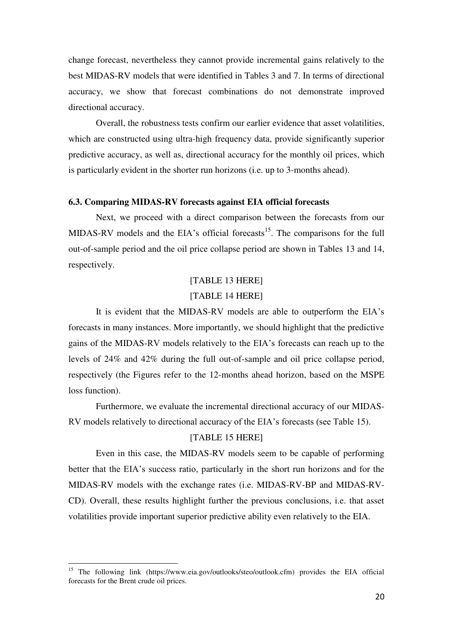change forecast, nevertheless they cannot provide incremental gains relatively to the best MIDAS-RV models that were identified in Tables 3 and 7. In terms of directional accuracy, we show that forecast combinations do not demonstrate improved directional accuracy.

 Overall, the robustness tests confirm our earlier evidence that asset volatilities, which are constructed using ultra-high frequency data, provide significantly superior predictive accuracy, as well as, directional accuracy for the monthly oil prices, which is particularly evident in the shorter run horizons (i.e. up to 3-months ahead).

#### **6.3. Comparing MIDAS-RV forecasts against EIA official forecasts**

 Next, we proceed with a direct comparison between the forecasts from our MIDAS-RV models and the EIA's official forecasts<sup>15</sup>. The comparisons for the full out-of-sample period and the oil price collapse period are shown in Tables 13 and 14, respectively.

# [TABLE 13 HERE] [TABLE 14 HERE]

 It is evident that the MIDAS-RV models are able to outperform the EIA's forecasts in many instances. More importantly, we should highlight that the predictive gains of the MIDAS-RV models relatively to the EIA's forecasts can reach up to the levels of 24% and 42% during the full out-of-sample and oil price collapse period, respectively (the Figures refer to the 12-months ahead horizon, based on the MSPE loss function).

 Furthermore, we evaluate the incremental directional accuracy of our MIDAS-RV models relatively to directional accuracy of the EIA's forecasts (see Table 15).

#### [TABLE 15 HERE]

 Even in this case, the MIDAS-RV models seem to be capable of performing better that the EIA's success ratio, particularly in the short run horizons and for the MIDAS-RV models with the exchange rates (i.e. MIDAS-RV-BP and MIDAS-RV-CD). Overall, these results highlight further the previous conclusions, i.e. that asset volatilities provide important superior predictive ability even relatively to the EIA.

.

<sup>&</sup>lt;sup>15</sup> The following link (https://www.eia.gov/outlooks/steo/outlook.cfm) provides the EIA official forecasts for the Brent crude oil prices.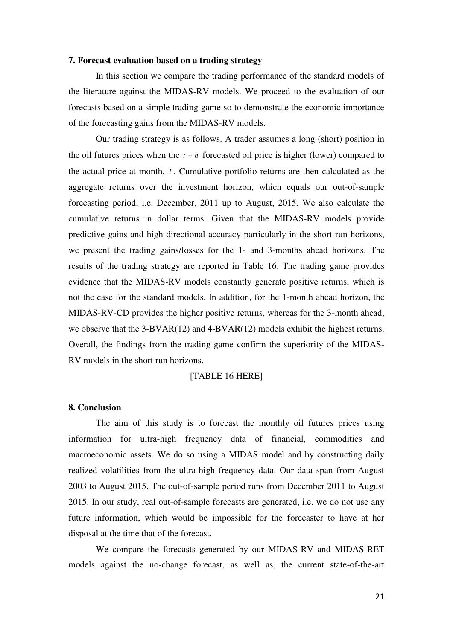#### **7. Forecast evaluation based on a trading strategy**

 In this section we compare the trading performance of the standard models of the literature against the MIDAS-RV models. We proceed to the evaluation of our forecasts based on a simple trading game so to demonstrate the economic importance of the forecasting gains from the MIDAS-RV models.

Our trading strategy is as follows. A trader assumes a long (short) position in the oil futures prices when the  $t + h$  forecasted oil price is higher (lower) compared to the actual price at month, *<sup>t</sup>* . Cumulative portfolio returns are then calculated as the aggregate returns over the investment horizon, which equals our out-of-sample forecasting period, i.e. December, 2011 up to August, 2015. We also calculate the cumulative returns in dollar terms. Given that the MIDAS-RV models provide predictive gains and high directional accuracy particularly in the short run horizons, we present the trading gains/losses for the 1- and 3-months ahead horizons. The results of the trading strategy are reported in Table 16. The trading game provides evidence that the MIDAS-RV models constantly generate positive returns, which is not the case for the standard models. In addition, for the 1-month ahead horizon, the MIDAS-RV-CD provides the higher positive returns, whereas for the 3-month ahead, we observe that the 3-BVAR(12) and 4-BVAR(12) models exhibit the highest returns. Overall, the findings from the trading game confirm the superiority of the MIDAS-RV models in the short run horizons.

#### [TABLE 16 HERE]

#### **8. Conclusion**

The aim of this study is to forecast the monthly oil futures prices using information for ultra-high frequency data of financial, commodities and macroeconomic assets. We do so using a MIDAS model and by constructing daily realized volatilities from the ultra-high frequency data. Our data span from August 2003 to August 2015. The out-of-sample period runs from December 2011 to August 2015. In our study, real out-of-sample forecasts are generated, i.e. we do not use any future information, which would be impossible for the forecaster to have at her disposal at the time that of the forecast.

We compare the forecasts generated by our MIDAS-RV and MIDAS-RET models against the no-change forecast, as well as, the current state-of-the-art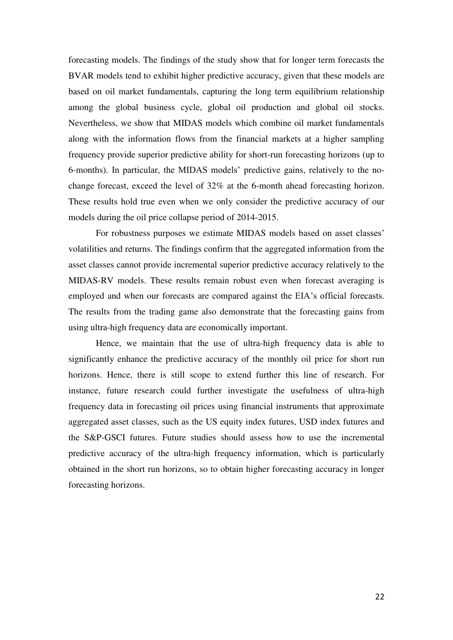forecasting models. The findings of the study show that for longer term forecasts the BVAR models tend to exhibit higher predictive accuracy, given that these models are based on oil market fundamentals, capturing the long term equilibrium relationship among the global business cycle, global oil production and global oil stocks. Nevertheless, we show that MIDAS models which combine oil market fundamentals along with the information flows from the financial markets at a higher sampling frequency provide superior predictive ability for short-run forecasting horizons (up to 6-months). In particular, the MIDAS models' predictive gains, relatively to the nochange forecast, exceed the level of 32% at the 6-month ahead forecasting horizon. These results hold true even when we only consider the predictive accuracy of our models during the oil price collapse period of 2014-2015.

For robustness purposes we estimate MIDAS models based on asset classes' volatilities and returns. The findings confirm that the aggregated information from the asset classes cannot provide incremental superior predictive accuracy relatively to the MIDAS-RV models. These results remain robust even when forecast averaging is employed and when our forecasts are compared against the EIA's official forecasts. The results from the trading game also demonstrate that the forecasting gains from using ultra-high frequency data are economically important.

Hence, we maintain that the use of ultra-high frequency data is able to significantly enhance the predictive accuracy of the monthly oil price for short run horizons. Hence, there is still scope to extend further this line of research. For instance, future research could further investigate the usefulness of ultra-high frequency data in forecasting oil prices using financial instruments that approximate aggregated asset classes, such as the US equity index futures, USD index futures and the S&P-GSCI futures. Future studies should assess how to use the incremental predictive accuracy of the ultra-high frequency information, which is particularly obtained in the short run horizons, so to obtain higher forecasting accuracy in longer forecasting horizons.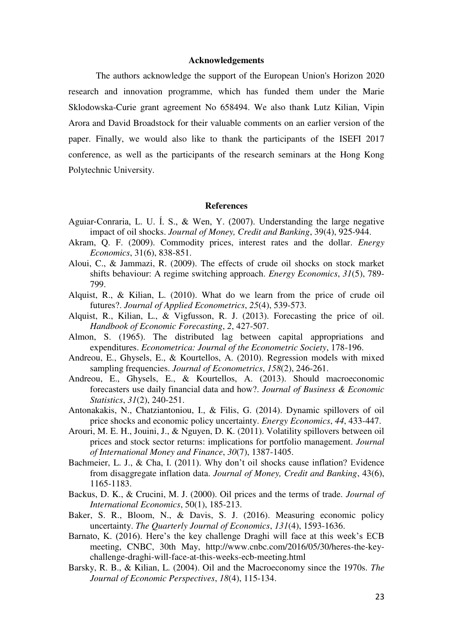#### **Acknowledgements**

The authors acknowledge the support of the European Union's Horizon 2020 research and innovation programme, which has funded them under the Marie Sklodowska-Curie grant agreement No 658494. We also thank Lutz Kilian, Vipin Arora and David Broadstock for their valuable comments on an earlier version of the paper. Finally, we would also like to thank the participants of the ISEFI 2017 conference, as well as the participants of the research seminars at the Hong Kong Polytechnic University.

#### **References**

- Aguiar‐Conraria, L. U. Í. S., & Wen, Y. (2007). Understanding the large negative impact of oil shocks. *Journal of Money, Credit and Banking*, 39(4), 925-944.
- Akram, Q. F. (2009). Commodity prices, interest rates and the dollar. *Energy Economics*, 31(6), 838-851.
- Aloui, C., & Jammazi, R. (2009). The effects of crude oil shocks on stock market shifts behaviour: A regime switching approach. *Energy Economics*, *31*(5), 789- 799.
- Alquist, R., & Kilian, L. (2010). What do we learn from the price of crude oil futures?. *Journal of Applied Econometrics*, *25*(4), 539-573.
- Alquist, R., Kilian, L., & Vigfusson, R. J. (2013). Forecasting the price of oil. *Handbook of Economic Forecasting*, *2*, 427-507.
- Almon, S. (1965). The distributed lag between capital appropriations and expenditures. *Econometrica: Journal of the Econometric Society*, 178-196.
- Andreou, E., Ghysels, E., & Kourtellos, A. (2010). Regression models with mixed sampling frequencies. *Journal of Econometrics*, *158*(2), 246-261.
- Andreou, E., Ghysels, E., & Kourtellos, A. (2013). Should macroeconomic forecasters use daily financial data and how?. *Journal of Business & Economic Statistics*, *31*(2), 240-251.
- Antonakakis, N., Chatziantoniou, I., & Filis, G. (2014). Dynamic spillovers of oil price shocks and economic policy uncertainty. *Energy Economics*, *44*, 433-447.
- Arouri, M. E. H., Jouini, J., & Nguyen, D. K. (2011). Volatility spillovers between oil prices and stock sector returns: implications for portfolio management. *Journal of International Money and Finance*, *30*(7), 1387-1405.
- Bachmeier, L. J., & Cha, I. (2011). Why don't oil shocks cause inflation? Evidence from disaggregate inflation data. *Journal of Money, Credit and Banking*, 43(6), 1165-1183.
- Backus, D. K., & Crucini, M. J. (2000). Oil prices and the terms of trade. *Journal of International Economics*, 50(1), 185-213.
- Baker, S. R., Bloom, N., & Davis, S. J. (2016). Measuring economic policy uncertainty. *The Quarterly Journal of Economics*, *131*(4), 1593-1636.
- Barnato, K. (2016). Here's the key challenge Draghi will face at this week's ECB meeting, CNBC, 30th May, http://www.cnbc.com/2016/05/30/heres-the-keychallenge-draghi-will-face-at-this-weeks-ecb-meeting.html
- Barsky, R. B., & Kilian, L. (2004). Oil and the Macroeconomy since the 1970s. *The Journal of Economic Perspectives*, *18*(4), 115-134.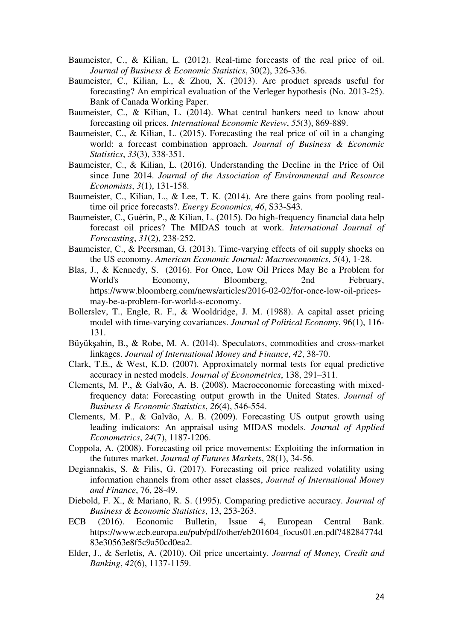- Baumeister, C., & Kilian, L. (2012). Real-time forecasts of the real price of oil. *Journal of Business & Economic Statistics*, 30(2), 326-336.
- Baumeister, C., Kilian, L., & Zhou, X. (2013). Are product spreads useful for forecasting? An empirical evaluation of the Verleger hypothesis (No. 2013-25). Bank of Canada Working Paper.
- Baumeister, C., & Kilian, L. (2014). What central bankers need to know about forecasting oil prices. *International Economic Review*, *55*(3), 869-889.
- Baumeister, C., & Kilian, L. (2015). Forecasting the real price of oil in a changing world: a forecast combination approach. *Journal of Business & Economic Statistics*, *33*(3), 338-351.
- Baumeister, C., & Kilian, L. (2016). Understanding the Decline in the Price of Oil since June 2014. *Journal of the Association of Environmental and Resource Economists*, *3*(1), 131-158.
- Baumeister, C., Kilian, L., & Lee, T. K. (2014). Are there gains from pooling realtime oil price forecasts?. *Energy Economics*, *46*, S33-S43.
- Baumeister, C., Guérin, P., & Kilian, L. (2015). Do high-frequency financial data help forecast oil prices? The MIDAS touch at work. *International Journal of Forecasting*, *31*(2), 238-252.
- Baumeister, C., & Peersman, G. (2013). Time-varying effects of oil supply shocks on the US economy. *American Economic Journal: Macroeconomics*, *5*(4), 1-28.
- Blas, J., & Kennedy, S. (2016). For Once, Low Oil Prices May Be a Problem for World's Economy, Bloomberg, 2nd February, https://www.bloomberg.com/news/articles/2016-02-02/for-once-low-oil-pricesmay-be-a-problem-for-world-s-economy.
- Bollerslev, T., Engle, R. F., & Wooldridge, J. M. (1988). A capital asset pricing model with time-varying covariances. *Journal of Political Economy*, 96(1), 116- 131.
- Büyükşahin, B., & Robe, M. A. (2014). Speculators, commodities and cross-market linkages. *Journal of International Money and Finance*, *42*, 38-70.
- Clark, T.E., & West, K.D. (2007). Approximately normal tests for equal predictive accuracy in nested models. *Journal of Econometrics*, 138, 291–311.
- Clements, M. P., & Galvão, A. B. (2008). Macroeconomic forecasting with mixedfrequency data: Forecasting output growth in the United States. *Journal of Business & Economic Statistics*, *26*(4), 546-554.
- Clements, M. P., & Galvão, A. B. (2009). Forecasting US output growth using leading indicators: An appraisal using MIDAS models. *Journal of Applied Econometrics*, *24*(7), 1187-1206.
- Coppola, A. (2008). Forecasting oil price movements: Exploiting the information in the futures market. *Journal of Futures Markets*, 28(1), 34-56.
- Degiannakis, S. & Filis, G. (2017). Forecasting oil price realized volatility using information channels from other asset classes, *Journal of International Money and Finance*, 76, 28-49.
- Diebold, F. X., & Mariano, R. S. (1995). Comparing predictive accuracy. *Journal of Business & Economic Statistics*, 13, 253-263.
- ECB (2016). Economic Bulletin, Issue 4, European Central Bank. https://www.ecb.europa.eu/pub/pdf/other/eb201604\_focus01.en.pdf?48284774d 83e30563e8f5c9a50cd0ea2.
- Elder, J., & Serletis, A. (2010). Oil price uncertainty. *Journal of Money, Credit and Banking*, *42*(6), 1137-1159.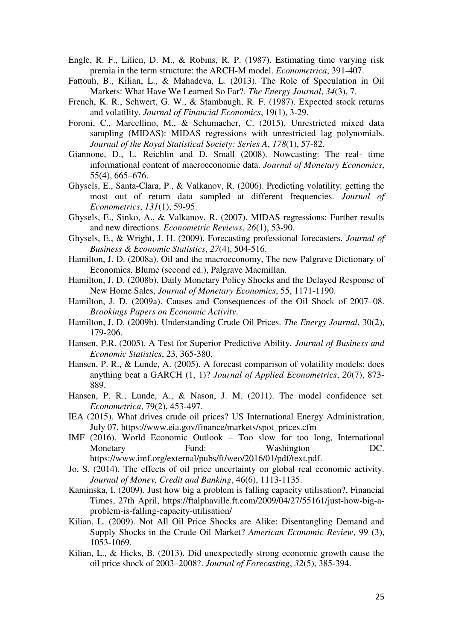- Engle, R. F., Lilien, D. M., & Robins, R. P. (1987). Estimating time varying risk premia in the term structure: the ARCH-M model. *Econometrica*, 391-407.
- Fattouh, B., Kilian, L., & Mahadeva, L. (2013). The Role of Speculation in Oil Markets: What Have We Learned So Far?. *The Energy Journal*, *34*(3), 7.
- French, K. R., Schwert, G. W., & Stambaugh, R. F. (1987). Expected stock returns and volatility. *Journal of Financial Economics*, 19(1), 3-29.
- Foroni, C., Marcellino, M., & Schumacher, C. (2015). Unrestricted mixed data sampling (MIDAS): MIDAS regressions with unrestricted lag polynomials. *Journal of the Royal Statistical Society: Series A*, *178*(1), 57-82.
- Giannone, D., L. Reichlin and D. Small (2008). Nowcasting: The real- time informational content of macroeconomic data. *Journal of Monetary Economics*, 55(4), 665–676.
- Ghysels, E., Santa-Clara, P., & Valkanov, R. (2006). Predicting volatility: getting the most out of return data sampled at different frequencies. *Journal of Econometrics*, *131*(1), 59-95.
- Ghysels, E., Sinko, A., & Valkanov, R. (2007). MIDAS regressions: Further results and new directions. *Econometric Reviews*, *26*(1), 53-90.
- Ghysels, E., & Wright, J. H. (2009). Forecasting professional forecasters. *Journal of Business & Economic Statistics*, *27*(4), 504-516.
- Hamilton, J. D. (2008a). Oil and the macroeconomy, The new Palgrave Dictionary of Economics. Blume (second ed.), Palgrave Macmillan.
- Hamilton, J. D. (2008b). Daily Monetary Policy Shocks and the Delayed Response of New Home Sales, *Journal of Monetary Economics*, 55, 1171-1190.
- Hamilton, J. D. (2009a). Causes and Consequences of the Oil Shock of 2007–08. *Brookings Papers on Economic Activity*.
- Hamilton, J. D. (2009b). Understanding Crude Oil Prices. *The Energy Journal*, 30(2), 179-206.
- Hansen, P.R. (2005). A Test for Superior Predictive Ability. *Journal of Business and Economic Statistics*, 23, 365-380.
- Hansen, P. R., & Lunde, A. (2005). A forecast comparison of volatility models: does anything beat a GARCH (1, 1)? *Journal of Applied Econometrics*, *20*(7), 873- 889.
- Hansen, P. R., Lunde, A., & Nason, J. M. (2011). The model confidence set. *Econometrica*, 79(2), 453-497.
- IEA (2015). What drives crude oil prices? US International Energy Administration, July 07. https://www.eia.gov/finance/markets/spot\_prices.cfm
- IMF (2016). World Economic Outlook Too slow for too long, International Monetary Fund: Washington DC. https://www.imf.org/external/pubs/ft/weo/2016/01/pdf/text.pdf.
- Jo, S. (2014). The effects of oil price uncertainty on global real economic activity. *Journal of Money, Credit and Banking*, 46(6), 1113-1135.
- Kaminska, I. (2009). Just how big a problem is falling capacity utilisation?, Financial Times, 27th April, https://ftalphaville.ft.com/2009/04/27/55161/just-how-big-aproblem-is-falling-capacity-utilisation/
- Kilian, L. (2009). Not All Oil Price Shocks are Alike: Disentangling Demand and Supply Shocks in the Crude Oil Market? *American Economic Review*, 99 (3), 1053-1069.
- Kilian, L., & Hicks, B. (2013). Did unexpectedly strong economic growth cause the oil price shock of 2003–2008?. *Journal of Forecasting*, *32*(5), 385-394.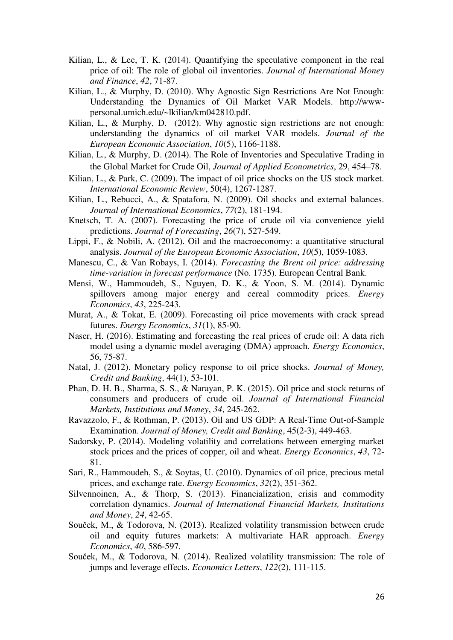- Kilian, L., & Lee, T. K. (2014). Quantifying the speculative component in the real price of oil: The role of global oil inventories. *Journal of International Money and Finance*, *42*, 71-87.
- Kilian, L., & Murphy, D. (2010). Why Agnostic Sign Restrictions Are Not Enough: Understanding the Dynamics of Oil Market VAR Models. http://wwwpersonal.umich.edu/~lkilian/km042810.pdf.
- Kilian, L., & Murphy, D. (2012). Why agnostic sign restrictions are not enough: understanding the dynamics of oil market VAR models. *Journal of the European Economic Association*, *10*(5), 1166-1188.
- Kilian, L., & Murphy, D. (2014). The Role of Inventories and Speculative Trading in the Global Market for Crude Oil, *Journal of Applied Econometrics*, 29, 454–78.
- Kilian, L., & Park, C. (2009). The impact of oil price shocks on the US stock market. *International Economic Review*, 50(4), 1267-1287.
- Kilian, L., Rebucci, A., & Spatafora, N. (2009). Oil shocks and external balances. *Journal of International Economics*, *77*(2), 181-194.
- Knetsch, T. A. (2007). Forecasting the price of crude oil via convenience yield predictions. *Journal of Forecasting*, *26*(7), 527-549.
- Lippi, F., & Nobili, A. (2012). Oil and the macroeconomy: a quantitative structural analysis. *Journal of the European Economic Association*, *10*(5), 1059-1083.
- Manescu, C., & Van Robays, I. (2014). *Forecasting the Brent oil price: addressing time-variation in forecast performance* (No. 1735). European Central Bank.
- Mensi, W., Hammoudeh, S., Nguyen, D. K., & Yoon, S. M. (2014). Dynamic spillovers among major energy and cereal commodity prices. *Energy Economics*, *43*, 225-243.
- Murat, A., & Tokat, E. (2009). Forecasting oil price movements with crack spread futures. *Energy Economics*, *31*(1), 85-90.
- Naser, H. (2016). Estimating and forecasting the real prices of crude oil: A data rich model using a dynamic model averaging (DMA) approach. *Energy Economics*, 56, 75-87.
- Natal, J. (2012). Monetary policy response to oil price shocks. *Journal of Money, Credit and Banking*, 44(1), 53-101.
- Phan, D. H. B., Sharma, S. S., & Narayan, P. K. (2015). Oil price and stock returns of consumers and producers of crude oil. *Journal of International Financial Markets, Institutions and Money*, *34*, 245-262.
- Ravazzolo, F., & Rothman, P. (2013). Oil and US GDP: A Real‐Time Out‐of‐Sample Examination. *Journal of Money, Credit and Banking*, 45(2‐3), 449-463.
- Sadorsky, P. (2014). Modeling volatility and correlations between emerging market stock prices and the prices of copper, oil and wheat. *Energy Economics*, *43*, 72- 81.
- Sari, R., Hammoudeh, S., & Soytas, U. (2010). Dynamics of oil price, precious metal prices, and exchange rate. *Energy Economics*, *32*(2), 351-362.
- Silvennoinen, A., & Thorp, S. (2013). Financialization, crisis and commodity correlation dynamics. *Journal of International Financial Markets, Institutions and Money*, *24*, 42-65.
- Souček, M., & Todorova, N. (2013). Realized volatility transmission between crude oil and equity futures markets: A multivariate HAR approach. *Energy Economics*, *40*, 586-597.
- Souček, M., & Todorova, N. (2014). Realized volatility transmission: The role of jumps and leverage effects. *Economics Letters*, *122*(2), 111-115.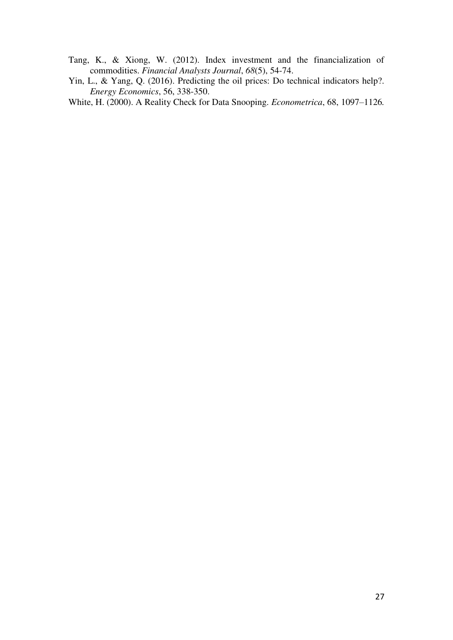- Tang, K., & Xiong, W. (2012). Index investment and the financialization of commodities. *Financial Analysts Journal*, *68*(5), 54-74.
- Yin, L., & Yang, Q. (2016). Predicting the oil prices: Do technical indicators help?. *Energy Economics*, 56, 338-350.

White, H. (2000). A Reality Check for Data Snooping. *Econometrica*, 68, 1097–1126*.*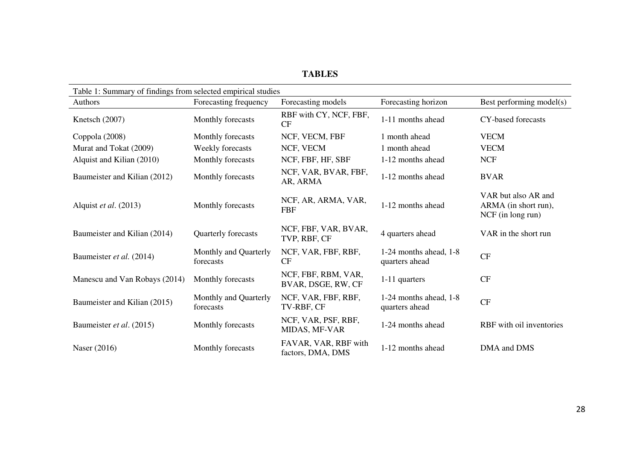### **TABLES**

| Table 1: Summary of findings from selected empirical studies |                                    |                                           |                                              |                                                                  |
|--------------------------------------------------------------|------------------------------------|-------------------------------------------|----------------------------------------------|------------------------------------------------------------------|
| Authors                                                      | Forecasting frequency              | Forecasting models                        | Forecasting horizon                          | Best performing model(s)                                         |
| Knetsch (2007)                                               | Monthly forecasts                  | RBF with CY, NCF, FBF,<br>CF              | 1-11 months ahead                            | CY-based forecasts                                               |
| Coppola (2008)                                               | Monthly forecasts                  | NCF, VECM, FBF                            | 1 month ahead                                | <b>VECM</b>                                                      |
| Murat and Tokat (2009)                                       | Weekly forecasts                   | NCF, VECM                                 | 1 month ahead                                | <b>VECM</b>                                                      |
| Alquist and Kilian (2010)                                    | Monthly forecasts                  | NCF, FBF, HF, SBF                         | 1-12 months ahead                            | <b>NCF</b>                                                       |
| Baumeister and Kilian (2012)                                 | Monthly forecasts                  | NCF, VAR, BVAR, FBF,<br>AR, ARMA          | 1-12 months ahead                            | <b>BVAR</b>                                                      |
| Alquist et al. (2013)                                        | Monthly forecasts                  | NCF, AR, ARMA, VAR,<br><b>FBF</b>         | 1-12 months ahead                            | VAR but also AR and<br>ARMA (in short run),<br>NCF (in long run) |
| Baumeister and Kilian (2014)                                 | Quarterly forecasts                | NCF, FBF, VAR, BVAR,<br>TVP, RBF, CF      | 4 quarters ahead                             | VAR in the short run                                             |
| Baumeister et al. (2014)                                     | Monthly and Quarterly<br>forecasts | NCF, VAR, FBF, RBF,<br><b>CF</b>          | $1-24$ months ahead, $1-8$<br>quarters ahead | CF                                                               |
| Manescu and Van Robays (2014)                                | Monthly forecasts                  | NCF, FBF, RBM, VAR,<br>BVAR, DSGE, RW, CF | 1-11 quarters                                | CF                                                               |
| Baumeister and Kilian (2015)                                 | Monthly and Quarterly<br>forecasts | NCF, VAR, FBF, RBF,<br>TV-RBF, CF         | $1-24$ months ahead, $1-8$<br>quarters ahead | CF                                                               |
| Baumeister et al. (2015)                                     | Monthly forecasts                  | NCF, VAR, PSF, RBF,<br>MIDAS, MF-VAR      | 1-24 months ahead                            | RBF with oil inventories                                         |
| Naser (2016)                                                 | Monthly forecasts                  | FAVAR, VAR, RBF with<br>factors, DMA, DMS | 1-12 months ahead                            | DMA and DMS                                                      |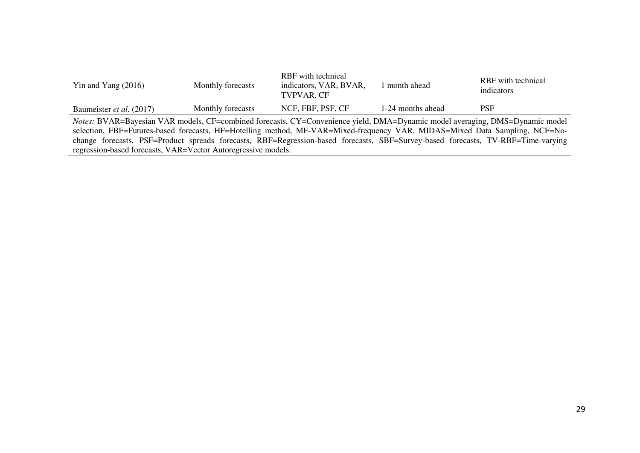| Yin and Yang $(2016)$                                                                                                            | Monthly forecasts | RBF with technical<br>indicators, VAR, BVAR,<br>TVPVAR, CF | 1 month ahead     | RBF with technical<br>indicators |
|----------------------------------------------------------------------------------------------------------------------------------|-------------------|------------------------------------------------------------|-------------------|----------------------------------|
| Baumeister <i>et al.</i> (2017)                                                                                                  | Monthly forecasts | NCF, FBF, PSF, CF                                          | 1-24 months ahead | <b>PSF</b>                       |
| Notes: BVAR=Bayesian VAR models, CF=combined forecasts, CY=Convenience yield, DMA=Dynamic model averaging, DMS=Dynamic model     |                   |                                                            |                   |                                  |
| selection, FBF=Futures-based forecasts, HF=Hotelling method, MF-VAR=Mixed-frequency VAR, MIDAS=Mixed Data Sampling, NCF=No-      |                   |                                                            |                   |                                  |
| change forecasts, PSF=Product spreads forecasts, RBF=Regression-based forecasts, SBF=Survey-based forecasts, TV-RBF=Time-varying |                   |                                                            |                   |                                  |

regression-based forecasts, VAR=Vector Autoregressive models.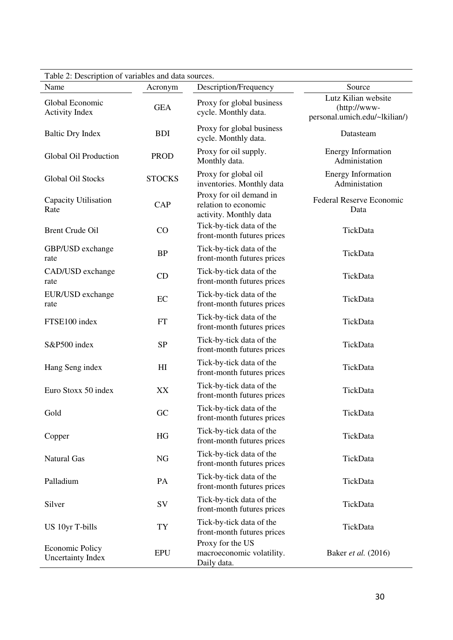| Table 2: Description of variables and data sources. |               |                                                                           |                                                                      |  |  |  |
|-----------------------------------------------------|---------------|---------------------------------------------------------------------------|----------------------------------------------------------------------|--|--|--|
| Name                                                | Acronym       | Description/Frequency                                                     | Source                                                               |  |  |  |
| Global Economic<br><b>Activity Index</b>            | <b>GEA</b>    | Proxy for global business<br>cycle. Monthly data.                         | Lutz Kilian website<br>(http://www-<br>personal.umich.edu/~lkilian/) |  |  |  |
| <b>Baltic Dry Index</b>                             | <b>BDI</b>    | Proxy for global business<br>cycle. Monthly data.                         | Datasteam                                                            |  |  |  |
| Global Oil Production                               | <b>PROD</b>   | Proxy for oil supply.<br>Monthly data.                                    | <b>Energy Information</b><br>Administation                           |  |  |  |
| Global Oil Stocks                                   | <b>STOCKS</b> | Proxy for global oil<br>inventories. Monthly data                         | <b>Energy Information</b><br>Administation                           |  |  |  |
| Capacity Utilisation<br>Rate                        | CAP           | Proxy for oil demand in<br>relation to economic<br>activity. Monthly data | <b>Federal Reserve Economic</b><br>Data                              |  |  |  |
| <b>Brent Crude Oil</b>                              | CO            | Tick-by-tick data of the<br>front-month futures prices                    | TickData                                                             |  |  |  |
| GBP/USD exchange<br>rate                            | <b>BP</b>     | Tick-by-tick data of the<br>front-month futures prices                    | TickData                                                             |  |  |  |
| CAD/USD exchange<br>rate                            | CD            | Tick-by-tick data of the<br>front-month futures prices                    | TickData                                                             |  |  |  |
| EUR/USD exchange<br>rate                            | EC            | Tick-by-tick data of the<br>front-month futures prices                    | TickData                                                             |  |  |  |
| FTSE100 index                                       | <b>FT</b>     | Tick-by-tick data of the<br>front-month futures prices                    | TickData                                                             |  |  |  |
| S&P500 index                                        | <b>SP</b>     | Tick-by-tick data of the<br>front-month futures prices                    | TickData                                                             |  |  |  |
| Hang Seng index                                     | H I           | Tick-by-tick data of the<br>front-month futures prices                    | TickData                                                             |  |  |  |
| Euro Stoxx 50 index                                 | XX            | Tick-by-tick data of the<br>front-month futures prices                    | TickData                                                             |  |  |  |
| Gold                                                | GC            | Tick-by-tick data of the<br>front-month futures prices                    | TickData                                                             |  |  |  |
| Copper                                              | HG            | Tick-by-tick data of the<br>front-month futures prices                    | TickData                                                             |  |  |  |
| <b>Natural Gas</b>                                  | <b>NG</b>     | Tick-by-tick data of the<br>front-month futures prices                    | TickData                                                             |  |  |  |
| Palladium                                           | PA            | Tick-by-tick data of the<br>front-month futures prices                    | TickData                                                             |  |  |  |
| Silver                                              | SV            | Tick-by-tick data of the<br>front-month futures prices                    | TickData                                                             |  |  |  |
| US 10yr T-bills                                     | TY            | Tick-by-tick data of the<br>front-month futures prices                    | TickData                                                             |  |  |  |
| <b>Economic Policy</b><br><b>Uncertainty Index</b>  | <b>EPU</b>    | Proxy for the US<br>macroeconomic volatility.<br>Daily data.              | Baker et al. (2016)                                                  |  |  |  |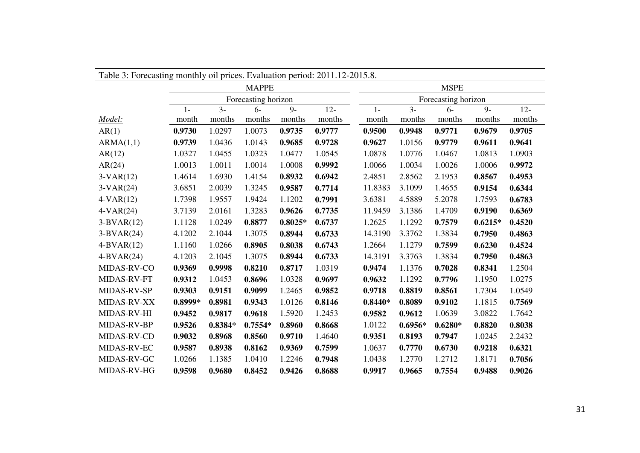| Table 3: Forecasting monthly oil prices. Evaluation period: 2011.12-2015.8. |           |           |                     |           |        |             |           |                     |           |        |  |  |
|-----------------------------------------------------------------------------|-----------|-----------|---------------------|-----------|--------|-------------|-----------|---------------------|-----------|--------|--|--|
|                                                                             |           |           | <b>MAPPE</b>        |           |        | <b>MSPE</b> |           |                     |           |        |  |  |
|                                                                             |           |           | Forecasting horizon |           |        |             |           | Forecasting horizon |           |        |  |  |
|                                                                             | $1 -$     | $3-$      | $6-$                | $9-$      | $12 -$ | $1-$        | $3-$      | $6-$                | $9-$      | $12 -$ |  |  |
| Model:                                                                      | month     | months    | months              | months    | months | month       | months    | months              | months    | months |  |  |
| AR(1)                                                                       | 0.9730    | 1.0297    | 1.0073              | 0.9735    | 0.9777 | 0.9500      | 0.9948    | 0.9771              | 0.9679    | 0.9705 |  |  |
| ARMA(1,1)                                                                   | 0.9739    | 1.0436    | 1.0143              | 0.9685    | 0.9728 | 0.9627      | 1.0156    | 0.9779              | 0.9611    | 0.9641 |  |  |
| AR(12)                                                                      | 1.0327    | 1.0455    | 1.0323              | 1.0477    | 1.0545 | 1.0878      | 1.0776    | 1.0467              | 1.0813    | 1.0903 |  |  |
| AR(24)                                                                      | 1.0013    | 1.0011    | 1.0014              | 1.0008    | 0.9992 | 1.0066      | 1.0034    | 1.0026              | 1.0006    | 0.9972 |  |  |
| $3-VAR(12)$                                                                 | 1.4614    | 1.6930    | 1.4154              | 0.8932    | 0.6942 | 2.4851      | 2.8562    | 2.1953              | 0.8567    | 0.4953 |  |  |
| $3-VAR(24)$                                                                 | 3.6851    | 2.0039    | 1.3245              | 0.9587    | 0.7714 | 11.8383     | 3.1099    | 1.4655              | 0.9154    | 0.6344 |  |  |
| $4-VAR(12)$                                                                 | 1.7398    | 1.9557    | 1.9424              | 1.1202    | 0.7991 | 3.6381      | 4.5889    | 5.2078              | 1.7593    | 0.6783 |  |  |
| $4-VAR(24)$                                                                 | 3.7139    | 2.0161    | 1.3283              | 0.9626    | 0.7735 | 11.9459     | 3.1386    | 1.4709              | 0.9190    | 0.6369 |  |  |
| $3-BVAR(12)$                                                                | 1.1128    | 1.0249    | 0.8877              | $0.8025*$ | 0.6737 | 1.2625      | 1.1292    | 0.7579              | $0.6215*$ | 0.4520 |  |  |
| $3-BVAR(24)$                                                                | 4.1202    | 2.1044    | 1.3075              | 0.8944    | 0.6733 | 14.3190     | 3.3762    | 1.3834              | 0.7950    | 0.4863 |  |  |
| $4-BVAR(12)$                                                                | 1.1160    | 1.0266    | 0.8905              | 0.8038    | 0.6743 | 1.2664      | 1.1279    | 0.7599              | 0.6230    | 0.4524 |  |  |
| $4-BVAR(24)$                                                                | 4.1203    | 2.1045    | 1.3075              | 0.8944    | 0.6733 | 14.3191     | 3.3763    | 1.3834              | 0.7950    | 0.4863 |  |  |
| MIDAS-RV-CO                                                                 | 0.9369    | 0.9998    | 0.8210              | 0.8717    | 1.0319 | 0.9474      | 1.1376    | 0.7028              | 0.8341    | 1.2504 |  |  |
| <b>MIDAS-RV-FT</b>                                                          | 0.9312    | 1.0453    | 0.8696              | 1.0328    | 0.9697 | 0.9632      | 1.1292    | 0.7796              | 1.1950    | 1.0275 |  |  |
| <b>MIDAS-RV-SP</b>                                                          | 0.9303    | 0.9151    | 0.9099              | 1.2465    | 0.9852 | 0.9718      | 0.8819    | 0.8561              | 1.7304    | 1.0549 |  |  |
| <b>MIDAS-RV-XX</b>                                                          | $0.8999*$ | 0.8981    | 0.9343              | 1.0126    | 0.8146 | $0.8440*$   | 0.8089    | 0.9102              | 1.1815    | 0.7569 |  |  |
| MIDAS-RV-HI                                                                 | 0.9452    | 0.9817    | 0.9618              | 1.5920    | 1.2453 | 0.9582      | 0.9612    | 1.0639              | 3.0822    | 1.7642 |  |  |
| MIDAS-RV-BP                                                                 | 0.9526    | $0.8384*$ | $0.7554*$           | 0.8960    | 0.8668 | 1.0122      | $0.6956*$ | $0.6280*$           | 0.8820    | 0.8038 |  |  |
| MIDAS-RV-CD                                                                 | 0.9032    | 0.8968    | 0.8560              | 0.9710    | 1.4640 | 0.9351      | 0.8193    | 0.7947              | 1.0245    | 2.2432 |  |  |
| MIDAS-RV-EC                                                                 | 0.9587    | 0.8938    | 0.8162              | 0.9369    | 0.7599 | 1.0637      | 0.7770    | 0.6730              | 0.9218    | 0.6321 |  |  |
| MIDAS-RV-GC                                                                 | 1.0266    | 1.1385    | 1.0410              | 1.2246    | 0.7948 | 1.0438      | 1.2770    | 1.2712              | 1.8171    | 0.7056 |  |  |
| MIDAS-RV-HG                                                                 | 0.9598    | 0.9680    | 0.8452              | 0.9426    | 0.8688 | 0.9917      | 0.9665    | 0.7554              | 0.9488    | 0.9026 |  |  |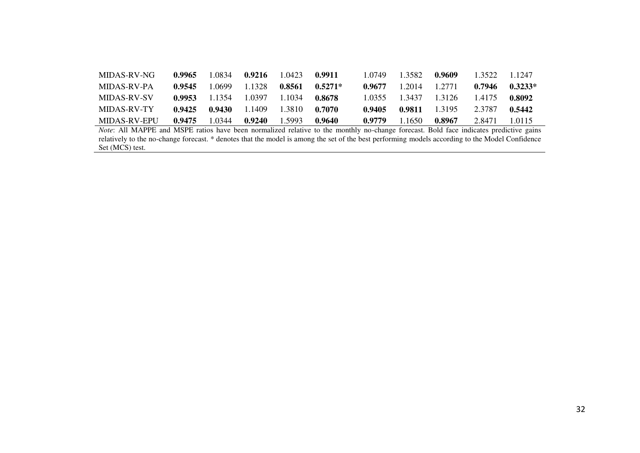| MIDAS-RV-NG  | 0.9965 | .0834  | 0.9216 | .0423   | 0.9911    | .0749  | .3582  | 0.9609    | 3522.  | 1 1247    |
|--------------|--------|--------|--------|---------|-----------|--------|--------|-----------|--------|-----------|
| MIDAS-RV-PA  | 0.9545 | .0699  | .1328  | 0.8561  | $0.5271*$ | 0.9677 | .2014  | 1 2771    | 0.7946 | $0.3233*$ |
| MIDAS-RV-SV  | 0.9953 | 1354   | -0397  | -1034   | 0.8678    | 0355   | -3437  | 1 3126    | 1.4175 | 0.8092    |
| MIDAS-RV-TY  | 0.9425 | 0.9430 | .1409  | 1.3810. | 0.7070    | 0.9405 | 0.9811 | 1 3 1 9 5 | 2.3787 | 0.5442    |
| MIDAS-RV-EPU | 0.9475 | .0344  | 0.9240 | .5993   | 0.9640    | 0.9779 | 1650   | 0.8967    | 2.8471 | .0115     |

*Note*: All MAPPE and MSPE ratios have been normalized relative to the monthly no-change forecast. Bold face indicates predictive gains relatively to the no-change forecast. \* denotes that the model is among the set of the best performing models according to the Model Confidence Set (MCS) test.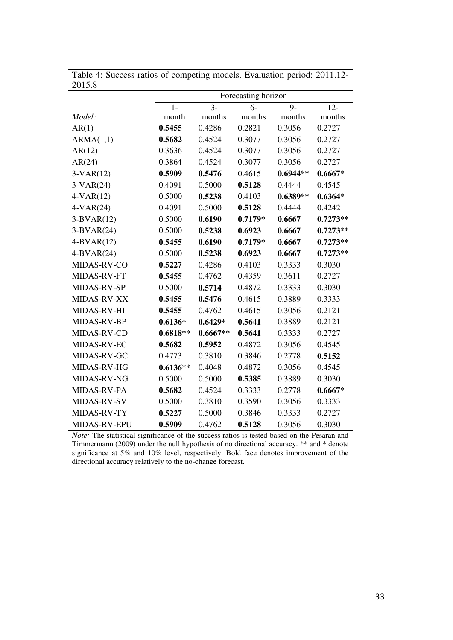| 2019.0       |            |                  |                     |            |            |
|--------------|------------|------------------|---------------------|------------|------------|
|              |            |                  | Forecasting horizon |            |            |
|              | $1-$       | $\overline{3}$ - | $6-$                | $9-$       | $12 -$     |
| Model:       | month      | months           | months              | months     | months     |
| AR(1)        | 0.5455     | 0.4286           | 0.2821              | 0.3056     | 0.2727     |
| ARMA(1,1)    | 0.5682     | 0.4524           | 0.3077              | 0.3056     | 0.2727     |
| AR(12)       | 0.3636     | 0.4524           | 0.3077              | 0.3056     | 0.2727     |
| AR(24)       | 0.3864     | 0.4524           | 0.3077              | 0.3056     | 0.2727     |
| $3-VAR(12)$  | 0.5909     | 0.5476           | 0.4615              | $0.6944**$ | $0.6667*$  |
| $3-VAR(24)$  | 0.4091     | 0.5000           | 0.5128              | 0.4444     | 0.4545     |
| $4-VAR(12)$  | 0.5000     | 0.5238           | 0.4103              | $0.6389**$ | $0.6364*$  |
| $4-VAR(24)$  | 0.4091     | 0.5000           | 0.5128              | 0.4444     | 0.4242     |
| $3-BVAR(12)$ | 0.5000     | 0.6190           | $0.7179*$           | 0.6667     | $0.7273**$ |
| $3-BVAR(24)$ | 0.5000     | 0.5238           | 0.6923              | 0.6667     | $0.7273**$ |
| $4-BVAR(12)$ | 0.5455     | 0.6190           | $0.7179*$           | 0.6667     | $0.7273**$ |
| $4-BVAR(24)$ | 0.5000     | 0.5238           | 0.6923              | 0.6667     | $0.7273**$ |
| MIDAS-RV-CO  | 0.5227     | 0.4286           | 0.4103              | 0.3333     | 0.3030     |
| MIDAS-RV-FT  | 0.5455     | 0.4762           | 0.4359              | 0.3611     | 0.2727     |
| MIDAS-RV-SP  | 0.5000     | 0.5714           | 0.4872              | 0.3333     | 0.3030     |
| MIDAS-RV-XX  | 0.5455     | 0.5476           | 0.4615              | 0.3889     | 0.3333     |
| MIDAS-RV-HI  | 0.5455     | 0.4762           | 0.4615              | 0.3056     | 0.2121     |
| MIDAS-RV-BP  | $0.6136*$  | $0.6429*$        | 0.5641              | 0.3889     | 0.2121     |
| MIDAS-RV-CD  | $0.6818**$ | $0.6667**$       | 0.5641              | 0.3333     | 0.2727     |
| MIDAS-RV-EC  | 0.5682     | 0.5952           | 0.4872              | 0.3056     | 0.4545     |
| MIDAS-RV-GC  | 0.4773     | 0.3810           | 0.3846              | 0.2778     | 0.5152     |
| MIDAS-RV-HG  | $0.6136**$ | 0.4048           | 0.4872              | 0.3056     | 0.4545     |
| MIDAS-RV-NG  | 0.5000     | 0.5000           | 0.5385              | 0.3889     | 0.3030     |
| MIDAS-RV-PA  | 0.5682     | 0.4524           | 0.3333              | 0.2778     | $0.6667*$  |
| MIDAS-RV-SV  | 0.5000     | 0.3810           | 0.3590              | 0.3056     | 0.3333     |
| MIDAS-RV-TY  | 0.5227     | 0.5000           | 0.3846              | 0.3333     | 0.2727     |
| MIDAS-RV-EPU | 0.5909     | 0.4762           | 0.5128              | 0.3056     | 0.3030     |

Table 4: Success ratios of competing models. Evaluation period: 2011.12- 2015.8

*Note:* The statistical significance of the success ratios is tested based on the Pesaran and Timmermann (2009) under the null hypothesis of no directional accuracy. \*\* and \* denote significance at 5% and 10% level, respectively. Bold face denotes improvement of the directional accuracy relatively to the no-change forecast.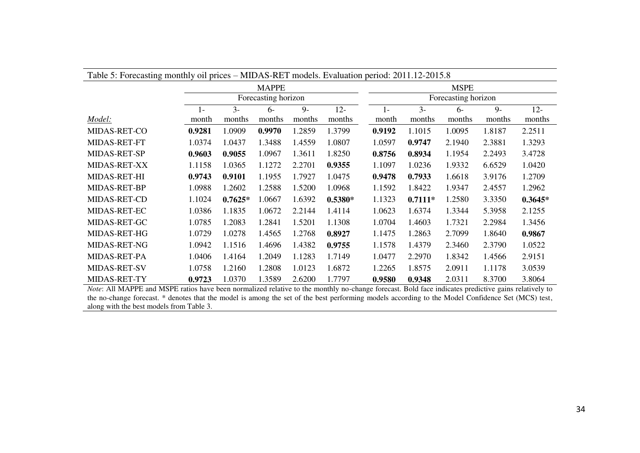| Table 5: Forecasting monthly oil prices – MIDAS-RET models. Evaluation period: 2011.12-2015.8 |              |           |                     |        |           |                     |           |        |        |           |  |
|-----------------------------------------------------------------------------------------------|--------------|-----------|---------------------|--------|-----------|---------------------|-----------|--------|--------|-----------|--|
|                                                                                               | <b>MSPE</b>  |           |                     |        |           |                     |           |        |        |           |  |
|                                                                                               |              |           | Forecasting horizon |        |           | Forecasting horizon |           |        |        |           |  |
|                                                                                               | $\mathbf{I}$ | $3 -$     | $6-$                | $9-$   | $12 -$    | $1 -$               | $3 -$     | $6-$   | $9 -$  | $12 -$    |  |
| Model:                                                                                        | month        | months    | months              | months | months    | month               | months    | months | months | months    |  |
| <b>MIDAS-RET-CO</b>                                                                           | 0.9281       | 1.0909    | 0.9970              | 1.2859 | 1.3799    | 0.9192              | 1.1015    | 1.0095 | 1.8187 | 2.2511    |  |
| MIDAS-RET-FT                                                                                  | 1.0374       | 1.0437    | 1.3488              | 1.4559 | 1.0807    | 1.0597              | 0.9747    | 2.1940 | 2.3881 | 1.3293    |  |
| MIDAS-RET-SP                                                                                  | 0.9603       | 0.9055    | 1.0967              | 1.3611 | 1.8250    | 0.8756              | 0.8934    | 1.1954 | 2.2493 | 3.4728    |  |
| MIDAS-RET-XX                                                                                  | 1.1158       | 1.0365    | 1.1272              | 2.2701 | 0.9355    | 1.1097              | 1.0236    | 1.9332 | 6.6529 | 1.0420    |  |
| MIDAS-RET-HI                                                                                  | 0.9743       | 0.9101    | 1.1955              | 1.7927 | 1.0475    | 0.9478              | 0.7933    | 1.6618 | 3.9176 | 1.2709    |  |
| MIDAS-RET-BP                                                                                  | 1.0988       | 1.2602    | 1.2588              | 1.5200 | 1.0968    | 1.1592              | 1.8422    | 1.9347 | 2.4557 | 1.2962    |  |
| MIDAS-RET-CD                                                                                  | 1.1024       | $0.7625*$ | 1.0667              | 1.6392 | $0.5380*$ | 1.1323              | $0.7111*$ | 1.2580 | 3.3350 | $0.3645*$ |  |
| MIDAS-RET-EC                                                                                  | 1.0386       | 1.1835    | 1.0672              | 2.2144 | 1.4114    | 1.0623              | 1.6374    | 1.3344 | 5.3958 | 2.1255    |  |
| MIDAS-RET-GC                                                                                  | 1.0785       | 1.2083    | 1.2841              | 1.5201 | 1.1308    | 1.0704              | 1.4603    | 1.7321 | 2.2984 | 1.3456    |  |
| MIDAS-RET-HG                                                                                  | 1.0729       | 1.0278    | 1.4565              | 1.2768 | 0.8927    | 1.1475              | 1.2863    | 2.7099 | 1.8640 | 0.9867    |  |
| MIDAS-RET-NG                                                                                  | 1.0942       | 1.1516    | 1.4696              | 1.4382 | 0.9755    | 1.1578              | 1.4379    | 2.3460 | 2.3790 | 1.0522    |  |
| MIDAS-RET-PA                                                                                  | 1.0406       | 1.4164    | 1.2049              | 1.1283 | 1.7149    | 1.0477              | 2.2970    | 1.8342 | 1.4566 | 2.9151    |  |
| MIDAS-RET-SV                                                                                  | 1.0758       | 1.2160    | 1.2808              | 1.0123 | 1.6872    | 1.2265              | 1.8575    | 2.0911 | 1.1178 | 3.0539    |  |
| MIDAS-RET-TY                                                                                  | 0.9723       | 1.0370    | 1.3589              | 2.6200 | 1.7797    | 0.9580              | 0.9348    | 2.0311 | 8.3700 | 3.8064    |  |

*Note*: All MAPPE and MSPE ratios have been normalized relative to the monthly no-change forecast. Bold face indicates predictive gains relatively to the no-change forecast. \* denotes that the model is among the set of the best performing models according to the Model Confidence Set (MCS) test, along with the best models from Table 3.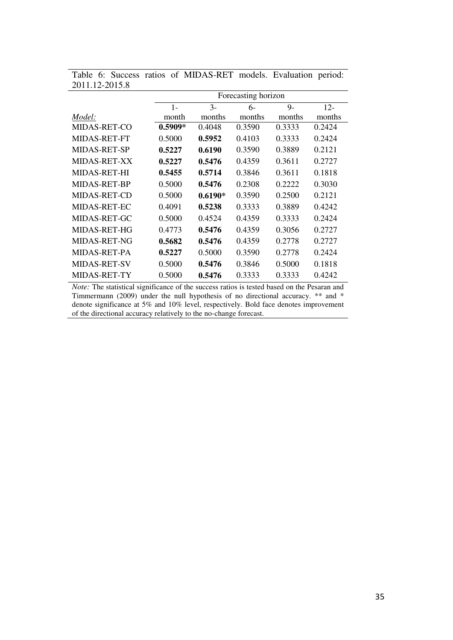| 4011.14-4019.0      |           |           |                     |        |        |
|---------------------|-----------|-----------|---------------------|--------|--------|
|                     |           |           | Forecasting horizon |        |        |
|                     | $1-$      | $3-$      | $6-$                | $9-$   | $12 -$ |
| Model:              | month     | months    | months              | months | months |
| MIDAS-RET-CO        | $0.5909*$ | 0.4048    | 0.3590              | 0.3333 | 0.2424 |
| MIDAS-RET-FT        | 0.5000    | 0.5952    | 0.4103              | 0.3333 | 0.2424 |
| <b>MIDAS-RET-SP</b> | 0.5227    | 0.6190    | 0.3590              | 0.3889 | 0.2121 |
| <b>MIDAS-RET-XX</b> | 0.5227    | 0.5476    | 0.4359              | 0.3611 | 0.2727 |
| <b>MIDAS-RET-HI</b> | 0.5455    | 0.5714    | 0.3846              | 0.3611 | 0.1818 |
| <b>MIDAS-RET-BP</b> | 0.5000    | 0.5476    | 0.2308              | 0.2222 | 0.3030 |
| <b>MIDAS-RET-CD</b> | 0.5000    | $0.6190*$ | 0.3590              | 0.2500 | 0.2121 |
| <b>MIDAS-RET-EC</b> | 0.4091    | 0.5238    | 0.3333              | 0.3889 | 0.4242 |
| MIDAS-RET-GC        | 0.5000    | 0.4524    | 0.4359              | 0.3333 | 0.2424 |
| MIDAS-RET-HG        | 0.4773    | 0.5476    | 0.4359              | 0.3056 | 0.2727 |
| MIDAS-RET-NG        | 0.5682    | 0.5476    | 0.4359              | 0.2778 | 0.2727 |
| MIDAS-RET-PA        | 0.5227    | 0.5000    | 0.3590              | 0.2778 | 0.2424 |
| <b>MIDAS-RET-SV</b> | 0.5000    | 0.5476    | 0.3846              | 0.5000 | 0.1818 |
| MIDAS-RET-TY        | 0.5000    | 0.5476    | 0.3333              | 0.3333 | 0.4242 |

Table 6: Success ratios of MIDAS-RET models. Evaluation period: 2011.12-2015.8

*Note:* The statistical significance of the success ratios is tested based on the Pesaran and Timmermann (2009) under the null hypothesis of no directional accuracy. \*\* and \* denote significance at 5% and 10% level, respectively. Bold face denotes improvement of the directional accuracy relatively to the no-change forecast.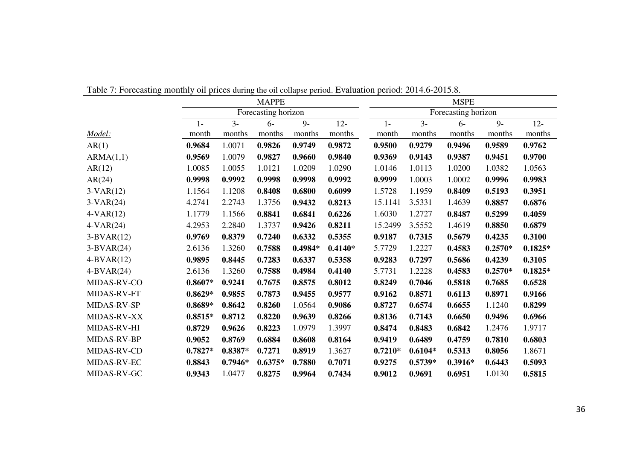|                    |           |           |                     |           |           | Table 7: Forecasting monthly oil prices during the oil collapse period. Evaluation period: 2014.6-2015.8. |           |           |           |           |  |
|--------------------|-----------|-----------|---------------------|-----------|-----------|-----------------------------------------------------------------------------------------------------------|-----------|-----------|-----------|-----------|--|
|                    |           |           | <b>MAPPE</b>        |           |           | <b>MSPE</b>                                                                                               |           |           |           |           |  |
|                    |           |           | Forecasting horizon |           |           | Forecasting horizon                                                                                       |           |           |           |           |  |
|                    | $1-$      | $3 -$     | $6-$                | $9-$      | $12 -$    | $1 -$                                                                                                     | $3 -$     | $6-$      | $9-$      | $12 -$    |  |
| Model:             | month     | months    | months              | months    | months    | month                                                                                                     | months    | months    | months    | months    |  |
| AR(1)              | 0.9684    | 1.0071    | 0.9826              | 0.9749    | 0.9872    | 0.9500                                                                                                    | 0.9279    | 0.9496    | 0.9589    | 0.9762    |  |
| ARMA(1,1)          | 0.9569    | 1.0079    | 0.9827              | 0.9660    | 0.9840    | 0.9369                                                                                                    | 0.9143    | 0.9387    | 0.9451    | 0.9700    |  |
| AR(12)             | 1.0085    | 1.0055    | 1.0121              | 1.0209    | 1.0290    | 1.0146                                                                                                    | 1.0113    | 1.0200    | 1.0382    | 1.0563    |  |
| AR(24)             | 0.9998    | 0.9992    | 0.9998              | 0.9998    | 0.9992    | 0.9999                                                                                                    | 1.0003    | 1.0002    | 0.9996    | 0.9983    |  |
| $3-VAR(12)$        | 1.1564    | 1.1208    | 0.8408              | 0.6800    | 0.6099    | 1.5728                                                                                                    | 1.1959    | 0.8409    | 0.5193    | 0.3951    |  |
| $3-VAR(24)$        | 4.2741    | 2.2743    | 1.3756              | 0.9432    | 0.8213    | 15.1141                                                                                                   | 3.5331    | 1.4639    | 0.8857    | 0.6876    |  |
| $4-VAR(12)$        | 1.1779    | 1.1566    | 0.8841              | 0.6841    | 0.6226    | 1.6030                                                                                                    | 1.2727    | 0.8487    | 0.5299    | 0.4059    |  |
| $4-VAR(24)$        | 4.2953    | 2.2840    | 1.3737              | 0.9426    | 0.8211    | 15.2499                                                                                                   | 3.5552    | 1.4619    | 0.8850    | 0.6879    |  |
| $3-BVAR(12)$       | 0.9769    | 0.8379    | 0.7240              | 0.6332    | 0.5355    | 0.9187                                                                                                    | 0.7315    | 0.5679    | 0.4235    | 0.3100    |  |
| $3-BVAR(24)$       | 2.6136    | 1.3260    | 0.7588              | $0.4984*$ | $0.4140*$ | 5.7729                                                                                                    | 1.2227    | 0.4583    | $0.2570*$ | $0.1825*$ |  |
| $4-BVAR(12)$       | 0.9895    | 0.8445    | 0.7283              | 0.6337    | 0.5358    | 0.9283                                                                                                    | 0.7297    | 0.5686    | 0.4239    | 0.3105    |  |
| $4-BVAR(24)$       | 2.6136    | 1.3260    | 0.7588              | 0.4984    | 0.4140    | 5.7731                                                                                                    | 1.2228    | 0.4583    | $0.2570*$ | $0.1825*$ |  |
| MIDAS-RV-CO        | $0.8607*$ | 0.9241    | 0.7675              | 0.8575    | 0.8012    | 0.8249                                                                                                    | 0.7046    | 0.5818    | 0.7685    | 0.6528    |  |
| MIDAS-RV-FT        | $0.8629*$ | 0.9855    | 0.7873              | 0.9455    | 0.9577    | 0.9162                                                                                                    | 0.8571    | 0.6113    | 0.8971    | 0.9166    |  |
| MIDAS-RV-SP        | $0.8689*$ | 0.8642    | 0.8260              | 1.0564    | 0.9086    | 0.8727                                                                                                    | 0.6574    | 0.6655    | 1.1240    | 0.8299    |  |
| MIDAS-RV-XX        | $0.8515*$ | 0.8712    | 0.8220              | 0.9639    | 0.8266    | 0.8136                                                                                                    | 0.7143    | 0.6650    | 0.9496    | 0.6966    |  |
| <b>MIDAS-RV-HI</b> | 0.8729    | 0.9626    | 0.8223              | 1.0979    | 1.3997    | 0.8474                                                                                                    | 0.8483    | 0.6842    | 1.2476    | 1.9717    |  |
| MIDAS-RV-BP        | 0.9052    | 0.8769    | 0.6884              | 0.8608    | 0.8164    | 0.9419                                                                                                    | 0.6489    | 0.4759    | 0.7810    | 0.6803    |  |
| MIDAS-RV-CD        | $0.7827*$ | $0.8387*$ | 0.7271              | 0.8919    | 1.3627    | $0.7210*$                                                                                                 | $0.6104*$ | 0.5313    | 0.8056    | 1.8671    |  |
| MIDAS-RV-EC        | 0.8843    | $0.7946*$ | $0.6375*$           | 0.7880    | 0.7071    | 0.9275                                                                                                    | $0.5739*$ | $0.3916*$ | 0.6443    | 0.5093    |  |
| MIDAS-RV-GC        | 0.9343    | 1.0477    | 0.8275              | 0.9964    | 0.7434    | 0.9012                                                                                                    | 0.9691    | 0.6951    | 1.0130    | 0.5815    |  |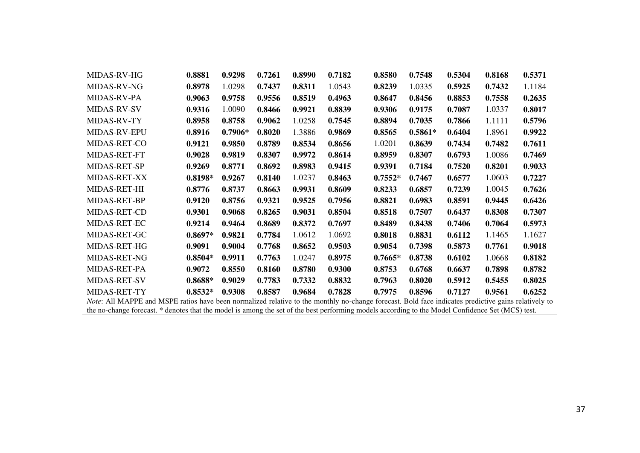| MIDAS-RV-HG         | 0.8881    | 0.9298    | 0.7261 | 0.8990 | 0.7182 | 0.8580    | 0.7548    | 0.5304 | 0.8168 | 0.5371 |
|---------------------|-----------|-----------|--------|--------|--------|-----------|-----------|--------|--------|--------|
| <b>MIDAS-RV-NG</b>  | 0.8978    | 1.0298    | 0.7437 | 0.8311 | 1.0543 | 0.8239    | 1.0335    | 0.5925 | 0.7432 | 1.1184 |
| MIDAS-RV-PA         | 0.9063    | 0.9758    | 0.9556 | 0.8519 | 0.4963 | 0.8647    | 0.8456    | 0.8853 | 0.7558 | 0.2635 |
| MIDAS-RV-SV         | 0.9316    | 1.0090    | 0.8466 | 0.9921 | 0.8839 | 0.9306    | 0.9175    | 0.7087 | 1.0337 | 0.8017 |
| MIDAS-RV-TY         | 0.8958    | 0.8758    | 0.9062 | 1.0258 | 0.7545 | 0.8894    | 0.7035    | 0.7866 | 1.1111 | 0.5796 |
| <b>MIDAS-RV-EPU</b> | 0.8916    | $0.7906*$ | 0.8020 | 1.3886 | 0.9869 | 0.8565    | $0.5861*$ | 0.6404 | 1.8961 | 0.9922 |
| MIDAS-RET-CO        | 0.9121    | 0.9850    | 0.8789 | 0.8534 | 0.8656 | 1.0201    | 0.8639    | 0.7434 | 0.7482 | 0.7611 |
| <b>MIDAS-RET-FT</b> | 0.9028    | 0.9819    | 0.8307 | 0.9972 | 0.8614 | 0.8959    | 0.8307    | 0.6793 | 1.0086 | 0.7469 |
| MIDAS-RET-SP        | 0.9269    | 0.8771    | 0.8692 | 0.8983 | 0.9415 | 0.9391    | 0.7184    | 0.7520 | 0.8201 | 0.9033 |
| <b>MIDAS-RET-XX</b> | $0.8198*$ | 0.9267    | 0.8140 | 1.0237 | 0.8463 | $0.7552*$ | 0.7467    | 0.6577 | 1.0603 | 0.7227 |
| MIDAS-RET-HI        | 0.8776    | 0.8737    | 0.8663 | 0.9931 | 0.8609 | 0.8233    | 0.6857    | 0.7239 | 1.0045 | 0.7626 |
| MIDAS-RET-BP        | 0.9120    | 0.8756    | 0.9321 | 0.9525 | 0.7956 | 0.8821    | 0.6983    | 0.8591 | 0.9445 | 0.6426 |
| MIDAS-RET-CD        | 0.9301    | 0.9068    | 0.8265 | 0.9031 | 0.8504 | 0.8518    | 0.7507    | 0.6437 | 0.8308 | 0.7307 |
| MIDAS-RET-EC        | 0.9214    | 0.9464    | 0.8689 | 0.8372 | 0.7697 | 0.8489    | 0.8438    | 0.7406 | 0.7064 | 0.5973 |
| MIDAS-RET-GC        | $0.8697*$ | 0.9821    | 0.7784 | 1.0612 | 1.0692 | 0.8018    | 0.8831    | 0.6112 | 1.1465 | 1.1627 |
| MIDAS-RET-HG        | 0.9091    | 0.9004    | 0.7768 | 0.8652 | 0.9503 | 0.9054    | 0.7398    | 0.5873 | 0.7761 | 0.9018 |
| MIDAS-RET-NG        | $0.8504*$ | 0.9911    | 0.7763 | 1.0247 | 0.8975 | $0.7665*$ | 0.8738    | 0.6102 | 1.0668 | 0.8182 |
| MIDAS-RET-PA        | 0.9072    | 0.8550    | 0.8160 | 0.8780 | 0.9300 | 0.8753    | 0.6768    | 0.6637 | 0.7898 | 0.8782 |
| <b>MIDAS-RET-SV</b> | $0.8688*$ | 0.9029    | 0.7783 | 0.7332 | 0.8832 | 0.7963    | 0.8020    | 0.5912 | 0.5455 | 0.8025 |
| MIDAS-RET-TY        | $0.8532*$ | 0.9308    | 0.8587 | 0.9684 | 0.7828 | 0.7975    | 0.8596    | 0.7127 | 0.9561 | 0.6252 |

*Note*: All MAPPE and MSPE ratios have been normalized relative to the monthly no-change forecast. Bold face indicates predictive gains relatively to the no-change forecast. \* denotes that the model is among the set of the best performing models according to the Model Confidence Set (MCS) test.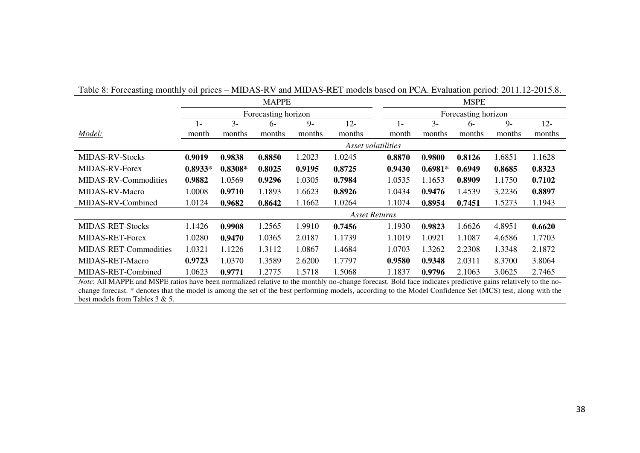| Table 8: Forecasting monthly oil prices – MIDAS-RV and MIDAS-RET models based on PCA. Evaluation period: 2011.12-2015.8.                                           |               |             |                     |         |                    |        |                     |        |         |        |  |  |
|--------------------------------------------------------------------------------------------------------------------------------------------------------------------|---------------|-------------|---------------------|---------|--------------------|--------|---------------------|--------|---------|--------|--|--|
|                                                                                                                                                                    |               | <b>MSPE</b> |                     |         |                    |        |                     |        |         |        |  |  |
|                                                                                                                                                                    |               |             | Forecasting horizon |         |                    |        | Forecasting horizon |        |         |        |  |  |
|                                                                                                                                                                    | $1-$          | $3-$        | $6-$                | $Q_{-}$ | $12 -$             | $1 -$  | $\mathcal{Z}_{-}$   | $6-$   | $Q_{-}$ | $12 -$ |  |  |
| Model:                                                                                                                                                             | month         | months      | months              | months  | months             | month  | months              | months | months  | months |  |  |
|                                                                                                                                                                    |               |             |                     |         | Asset volatilities |        |                     |        |         |        |  |  |
| <b>MIDAS-RV-Stocks</b>                                                                                                                                             | 0.9019        | 0.9838      | 0.8850              | 1.2023  | 1.0245             | 0.8870 | 0.9800              | 0.8126 | 1.6851  | 1.1628 |  |  |
| <b>MIDAS-RV-Forex</b>                                                                                                                                              | $0.8933*$     | $0.8308*$   | 0.8025              | 0.9195  | 0.8725             | 0.9430 | $0.6981*$           | 0.6949 | 0.8685  | 0.8323 |  |  |
| MIDAS-RV-Commodities                                                                                                                                               | 0.9882        | 1.0569      | 0.9296              | 1.0305  | 0.7984             | 1.0535 | 1.1653              | 0.8909 | 1.1750  | 0.7102 |  |  |
| MIDAS-RV-Macro                                                                                                                                                     | 1.0008        | 0.9710      | 1.1893              | 1.6623  | 0.8926             | 1.0434 | 0.9476              | 1.4539 | 3.2236  | 0.8897 |  |  |
| MIDAS-RV-Combined                                                                                                                                                  | 1.0124        | 0.9682      | 0.8642              | 1.1662  | 1.0264             | 1.1074 | 0.8954              | 0.7451 | 1.5273  | 1.1943 |  |  |
|                                                                                                                                                                    | Asset Returns |             |                     |         |                    |        |                     |        |         |        |  |  |
| <b>MIDAS-RET-Stocks</b>                                                                                                                                            | 1.1426        | 0.9908      | 1.2565              | 1.9910  | 0.7456             | 1.1930 | 0.9823              | 1.6626 | 4.8951  | 0.6620 |  |  |
| <b>MIDAS-RET-Forex</b>                                                                                                                                             | 1.0280        | 0.9470      | 1.0365              | 2.0187  | 1.1739             | 1.1019 | 1.0921              | 1.1087 | 4.6586  | 1.7703 |  |  |
| MIDAS-RET-Commodities                                                                                                                                              | 1.0321        | 1.1226      | 1.3112              | 1.0867  | 1.4684             | 1.0703 | 1.3262              | 2.2308 | 1.3348  | 2.1872 |  |  |
| MIDAS-RET-Macro                                                                                                                                                    | 0.9723        | 1.0370      | 1.3589              | 2.6200  | 1.7797             | 0.9580 | 0.9348              | 2.0311 | 8.3700  | 3.8064 |  |  |
| MIDAS-RET-Combined                                                                                                                                                 | 1.0623        | 0.9771      | 1.2775              | 1.5718  | 1.5068             | 1.1837 | 0.9796              | 2.1063 | 3.0625  | 2.7465 |  |  |
| <i>Note:</i> All MAPPE and MSPE ratios have been normalized relative to the monthly no-change forecast. Bold face indicates predictive gains relatively to the no- |               |             |                     |         |                    |        |                     |        |         |        |  |  |

change forecast. \* denotes that the model is among the set of the best performing models, according to the Model Confidence Set (MCS) test, along with the best models from Tables 3 & 5.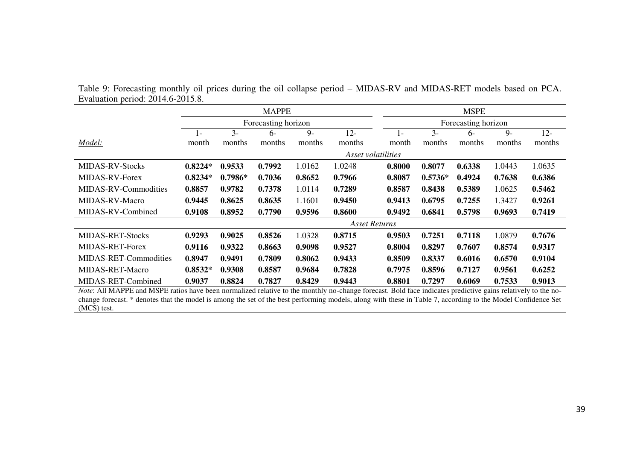| Table 9: Forecasting monthly oil prices during the oil collapse period – MIDAS-RV and MIDAS-RET models based on PCA. |
|----------------------------------------------------------------------------------------------------------------------|
| Evaluation period: 2014.6-2015.8.                                                                                    |

|                         | <b>MAPPE</b> |           |                     |        |                    |  | <b>MSPE</b>         |           |        |        |        |  |
|-------------------------|--------------|-----------|---------------------|--------|--------------------|--|---------------------|-----------|--------|--------|--------|--|
|                         |              |           | Forecasting horizon |        |                    |  | Forecasting horizon |           |        |        |        |  |
|                         | $1-$         | $3-$      | 6-                  | $9-$   | $12 -$             |  | $1 -$               | $3 -$     | $6-$   | $9-$   | $12 -$ |  |
| Model:                  | month        | months    | months              | months | months             |  | month               | months    | months | months | months |  |
|                         |              |           |                     |        | Asset volatilities |  |                     |           |        |        |        |  |
| <b>MIDAS-RV-Stocks</b>  | $0.8224*$    | 0.9533    | 0.7992              | 1.0162 | 1.0248             |  | 0.8000              | 0.8077    | 0.6338 | 1.0443 | 1.0635 |  |
| MIDAS-RV-Forex          | $0.8234*$    | $0.7986*$ | 0.7036              | 0.8652 | 0.7966             |  | 0.8087              | $0.5736*$ | 0.4924 | 0.7638 | 0.6386 |  |
| MIDAS-RV-Commodities    | 0.8857       | 0.9782    | 0.7378              | 1.0114 | 0.7289             |  | 0.8587              | 0.8438    | 0.5389 | 1.0625 | 0.5462 |  |
| MIDAS-RV-Macro          | 0.9445       | 0.8625    | 0.8635              | 1.1601 | 0.9450             |  | 0.9413              | 0.6795    | 0.7255 | 1.3427 | 0.9261 |  |
| MIDAS-RV-Combined       | 0.9108       | 0.8952    | 0.7790              | 0.9596 | 0.8600             |  | 0.9492              | 0.6841    | 0.5798 | 0.9693 | 0.7419 |  |
|                         |              |           |                     |        | Asset Returns      |  |                     |           |        |        |        |  |
| <b>MIDAS-RET-Stocks</b> | 0.9293       | 0.9025    | 0.8526              | 1.0328 | 0.8715             |  | 0.9503              | 0.7251    | 0.7118 | 1.0879 | 0.7676 |  |
| <b>MIDAS-RET-Forex</b>  | 0.9116       | 0.9322    | 0.8663              | 0.9098 | 0.9527             |  | 0.8004              | 0.8297    | 0.7607 | 0.8574 | 0.9317 |  |
| MIDAS-RET-Commodities   | 0.8947       | 0.9491    | 0.7809              | 0.8062 | 0.9433             |  | 0.8509              | 0.8337    | 0.6016 | 0.6570 | 0.9104 |  |
| MIDAS-RET-Macro         | $0.8532*$    | 0.9308    | 0.8587              | 0.9684 | 0.7828             |  | 0.7975              | 0.8596    | 0.7127 | 0.9561 | 0.6252 |  |
| MIDAS-RET-Combined      | 0.9037       | 0.8824    | 0.7827              | 0.8429 | 0.9443             |  | 0.8801              | 0.7297    | 0.6069 | 0.7533 | 0.9013 |  |

*Note*: All MAPPE and MSPE ratios have been normalized relative to the monthly no-change forecast. Bold face indicates predictive gains relatively to the nochange forecast. \* denotes that the model is among the set of the best performing models, along with these in Table 7, according to the Model Confidence Set (MCS) test.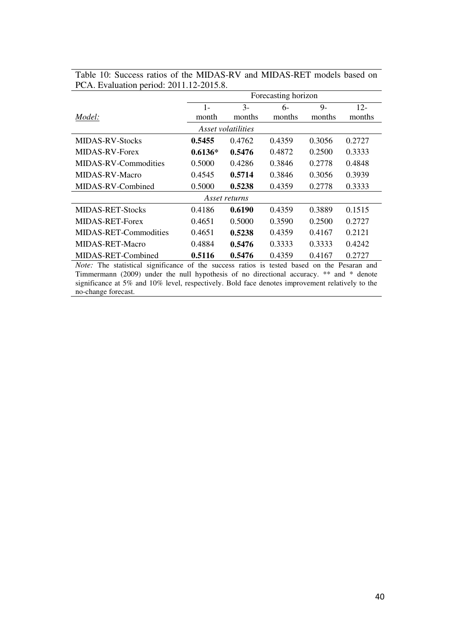|                              | Forecasting horizon |                    |        |        |        |  |  |  |  |
|------------------------------|---------------------|--------------------|--------|--------|--------|--|--|--|--|
|                              | $1-$                | $3-$               | $6-$   | $9-$   | $12 -$ |  |  |  |  |
| Model:                       | month               | months             | months | months | months |  |  |  |  |
|                              |                     | Asset volatilities |        |        |        |  |  |  |  |
| <b>MIDAS-RV-Stocks</b>       | 0.5455              | 0.4762             | 0.4359 | 0.3056 | 0.2727 |  |  |  |  |
| MIDAS-RV-Forex               | $0.6136*$           | 0.5476             | 0.4872 | 0.2500 | 0.3333 |  |  |  |  |
| MIDAS-RV-Commodities         | 0.5000              | 0.4286             | 0.3846 | 0.2778 | 0.4848 |  |  |  |  |
| MIDAS-RV-Macro               | 0.4545              | 0.5714             | 0.3846 | 0.3056 | 0.3939 |  |  |  |  |
| MIDAS-RV-Combined            | 0.5000              | 0.5238             | 0.4359 | 0.2778 | 0.3333 |  |  |  |  |
|                              |                     | Asset returns      |        |        |        |  |  |  |  |
| <b>MIDAS-RET-Stocks</b>      | 0.4186              | 0.6190             | 0.4359 | 0.3889 | 0.1515 |  |  |  |  |
| MIDAS-RET-Forex              | 0.4651              | 0.5000             | 0.3590 | 0.2500 | 0.2727 |  |  |  |  |
| <b>MIDAS-RET-Commodities</b> | 0.4651              | 0.5238             | 0.4359 | 0.4167 | 0.2121 |  |  |  |  |
| MIDAS-RET-Macro              | 0.4884              | 0.5476             | 0.3333 | 0.3333 | 0.4242 |  |  |  |  |
| MIDAS-RET-Combined           | 0.5116              | 0.5476             | 0.4359 | 0.4167 | 0.2727 |  |  |  |  |

Table 10: Success ratios of the MIDAS-RV and MIDAS-RET models based on PCA. Evaluation period: 2011.12-2015.8.

*Note:* The statistical significance of the success ratios is tested based on the Pesaran and Timmermann (2009) under the null hypothesis of no directional accuracy. \*\* and \* denote significance at 5% and 10% level, respectively. Bold face denotes improvement relatively to the no-change forecast.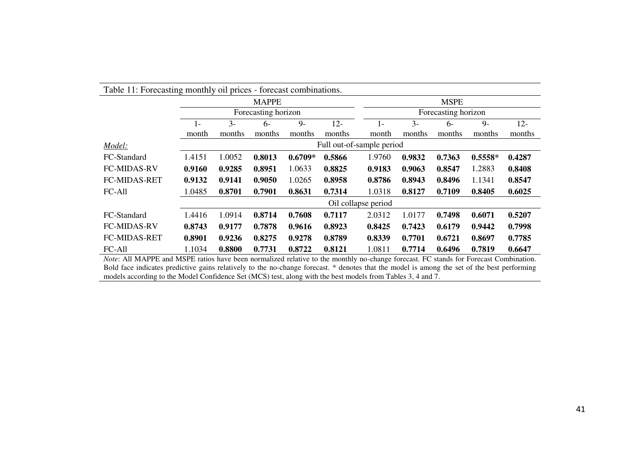| Table 11: Forecasting monthly oil prices - forecast combinations.                                                                            |        |        |                     |           |                           |                     |        |        |           |        |  |
|----------------------------------------------------------------------------------------------------------------------------------------------|--------|--------|---------------------|-----------|---------------------------|---------------------|--------|--------|-----------|--------|--|
|                                                                                                                                              |        |        | <b>MAPPE</b>        |           |                           | <b>MSPE</b>         |        |        |           |        |  |
|                                                                                                                                              |        |        | Forecasting horizon |           |                           | Forecasting horizon |        |        |           |        |  |
|                                                                                                                                              | I –    | $3 -$  | $6-$                | $Q_{-}$   | $12 -$                    | $1-$                | $3 -$  | 6-     | $Q_{-}$   | $12 -$ |  |
|                                                                                                                                              | month  | months | months              | months    | months                    | month               | months | months | months    | months |  |
| Model:                                                                                                                                       |        |        |                     |           | Full out-of-sample period |                     |        |        |           |        |  |
| FC-Standard                                                                                                                                  | 1.4151 | 1.0052 | 0.8013              | $0.6709*$ | 0.5866                    | 1.9760              | 0.9832 | 0.7363 | $0.5558*$ | 0.4287 |  |
| <b>FC-MIDAS-RV</b>                                                                                                                           | 0.9160 | 0.9285 | 0.8951              | 1.0633    | 0.8825                    | 0.9183              | 0.9063 | 0.8547 | 1.2883    | 0.8408 |  |
| <b>FC-MIDAS-RET</b>                                                                                                                          | 0.9132 | 0.9141 | 0.9050              | 1.0265    | 0.8958                    | 0.8786              | 0.8943 | 0.8496 | 1.1341    | 0.8547 |  |
| FC-All                                                                                                                                       | 1.0485 | 0.8701 | 0.7901              | 0.8631    | 0.7314                    | 1.0318              | 0.8127 | 0.7109 | 0.8405    | 0.6025 |  |
|                                                                                                                                              |        |        |                     |           |                           | Oil collapse period |        |        |           |        |  |
| FC-Standard                                                                                                                                  | 1.4416 | 1.0914 | 0.8714              | 0.7608    | 0.7117                    | 2.0312              | 1.0177 | 0.7498 | 0.6071    | 0.5207 |  |
| <b>FC-MIDAS-RV</b>                                                                                                                           | 0.8743 | 0.9177 | 0.7878              | 0.9616    | 0.8923                    | 0.8425              | 0.7423 | 0.6179 | 0.9442    | 0.7998 |  |
| <b>FC-MIDAS-RET</b>                                                                                                                          | 0.8901 | 0.9236 | 0.8275              | 0.9278    | 0.8789                    | 0.8339              | 0.7701 | 0.6721 | 0.8697    | 0.7785 |  |
| FC-All                                                                                                                                       | 1.1034 | 0.8800 | 0.7731              | 0.8722    | 0.8121                    | 1.0811              | 0.7714 | 0.6496 | 0.7819    | 0.6647 |  |
| <i>Note</i> : All MAPPE and MSPE ratios have been normalized relative to the monthly no-change forecast. FC stands for Forecast Combination. |        |        |                     |           |                           |                     |        |        |           |        |  |

*Note*: All MAPPE and MSPE ratios have been normalized relative to the monthly no-change forecast. FC stands for Forecast Combination. Bold face indicates predictive gains relatively to the no-change forecast. \* denotes that the model is among the set of the best performing models according to the Model Confidence Set (MCS) test, along with the best models from Tables 3, 4 and 7.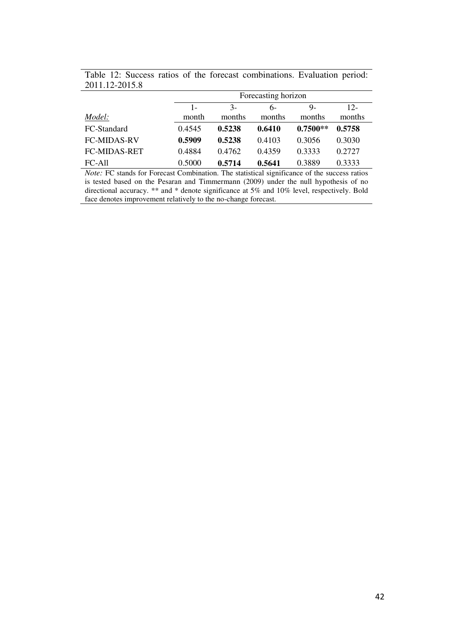|                     | Forecasting horizon |               |        |            |        |  |  |  |  |
|---------------------|---------------------|---------------|--------|------------|--------|--|--|--|--|
|                     | $1 -$               | $\mathcal{F}$ | რ-     | 9-         | $12-$  |  |  |  |  |
| Model:              | month               | months        | months | months     | months |  |  |  |  |
| FC-Standard         | 0.4545              | 0.5238        | 0.6410 | $0.7500**$ | 0.5758 |  |  |  |  |
| <b>FC-MIDAS-RV</b>  | 0.5909              | 0.5238        | 0.4103 | 0.3056     | 0.3030 |  |  |  |  |
| <b>FC-MIDAS-RET</b> | 0.4884              | 0.4762        | 0.4359 | 0.3333     | 0.2727 |  |  |  |  |
| $FC-All$            | 0.5000              | 0.5714        | 0.5641 | 0.3889     | 0.3333 |  |  |  |  |

Table 12: Success ratios of the forecast combinations. Evaluation period: 2011.12-2015.8

*Note:* FC stands for Forecast Combination. The statistical significance of the success ratios is tested based on the Pesaran and Timmermann (2009) under the null hypothesis of no directional accuracy. \*\* and \* denote significance at 5% and 10% level, respectively. Bold face denotes improvement relatively to the no-change forecast.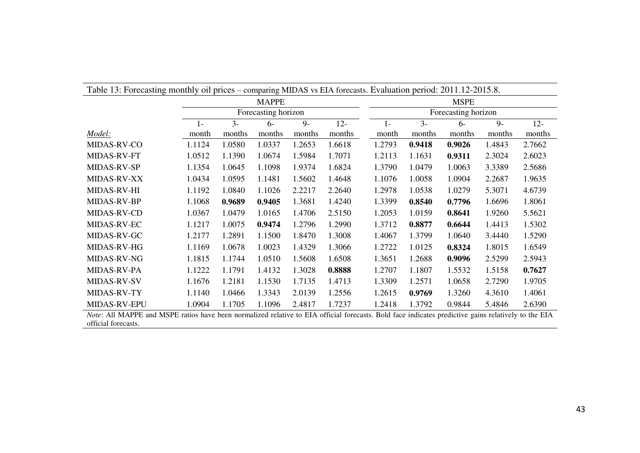| Table 13: Forecasting monthly oil prices – comparing MIDAS vs EIA forecasts. Evaluation period: 2011.12-2015.8.                                                            |        |        |                     |        |        |                     |        |        |        |        |  |
|----------------------------------------------------------------------------------------------------------------------------------------------------------------------------|--------|--------|---------------------|--------|--------|---------------------|--------|--------|--------|--------|--|
|                                                                                                                                                                            |        |        | <b>MAPPE</b>        |        |        | <b>MSPE</b>         |        |        |        |        |  |
|                                                                                                                                                                            |        |        | Forecasting horizon |        |        | Forecasting horizon |        |        |        |        |  |
|                                                                                                                                                                            | $1-$   | $3 -$  | $6-$                | $9-$   | $12 -$ | $1 -$               | $3 -$  | $6-$   | $9 -$  | $12 -$ |  |
| Model:                                                                                                                                                                     | month  | months | months              | months | months | month               | months | months | months | months |  |
| MIDAS-RV-CO                                                                                                                                                                | 1.1124 | 1.0580 | 1.0337              | 1.2653 | 1.6618 | 1.2793              | 0.9418 | 0.9026 | 1.4843 | 2.7662 |  |
| MIDAS-RV-FT                                                                                                                                                                | 1.0512 | 1.1390 | 1.0674              | 1.5984 | 1.7071 | 1.2113              | 1.1631 | 0.9311 | 2.3024 | 2.6023 |  |
| MIDAS-RV-SP                                                                                                                                                                | 1.1354 | 1.0645 | 1.1098              | 1.9374 | 1.6824 | 1.3790              | 1.0479 | 1.0063 | 3.3389 | 2.5686 |  |
| <b>MIDAS-RV-XX</b>                                                                                                                                                         | 1.0434 | 1.0595 | 1.1481              | 1.5602 | 1.4648 | 1.1076              | 1.0058 | 1.0904 | 2.2687 | 1.9635 |  |
| <b>MIDAS-RV-HI</b>                                                                                                                                                         | 1.1192 | 1.0840 | 1.1026              | 2.2217 | 2.2640 | 1.2978              | 1.0538 | 1.0279 | 5.3071 | 4.6739 |  |
| MIDAS-RV-BP                                                                                                                                                                | 1.1068 | 0.9689 | 0.9405              | 1.3681 | 1.4240 | 1.3399              | 0.8540 | 0.7796 | 1.6696 | 1.8061 |  |
| MIDAS-RV-CD                                                                                                                                                                | 1.0367 | 1.0479 | 1.0165              | 1.4706 | 2.5150 | 1.2053              | 1.0159 | 0.8641 | 1.9260 | 5.5621 |  |
| MIDAS-RV-EC                                                                                                                                                                | 1.1217 | 1.0075 | 0.9474              | 1.2796 | 1.2990 | 1.3712              | 0.8877 | 0.6644 | 1.4413 | 1.5302 |  |
| MIDAS-RV-GC                                                                                                                                                                | 1.2177 | 1.2891 | 1.1500              | 1.8470 | 1.3008 | 1.4067              | 1.3799 | 1.0640 | 3.4440 | 1.5290 |  |
| MIDAS-RV-HG                                                                                                                                                                | 1.1169 | 1.0678 | 1.0023              | 1.4329 | 1.3066 | 1.2722              | 1.0125 | 0.8324 | 1.8015 | 1.6549 |  |
| MIDAS-RV-NG                                                                                                                                                                | 1.1815 | 1.1744 | 1.0510              | 1.5608 | 1.6508 | 1.3651              | 1.2688 | 0.9096 | 2.5299 | 2.5943 |  |
| MIDAS-RV-PA                                                                                                                                                                | 1.1222 | 1.1791 | 1.4132              | 1.3028 | 0.8888 | 1.2707              | 1.1807 | 1.5532 | 1.5158 | 0.7627 |  |
| MIDAS-RV-SV                                                                                                                                                                | 1.1676 | 1.2181 | 1.1530              | 1.7135 | 1.4713 | 1.3309              | 1.2571 | 1.0658 | 2.7290 | 1.9705 |  |
| MIDAS-RV-TY                                                                                                                                                                | 1.1140 | 1.0466 | 1.3343              | 2.0139 | 1.2556 | 1.2615              | 0.9769 | 1.3260 | 4.3610 | 1.4061 |  |
| <b>MIDAS-RV-EPU</b>                                                                                                                                                        | 1.0904 | 1.1705 | 1.1096              | 2.4817 | 1.7237 | 1.2418              | 1.3792 | 0.9844 | 5.4846 | 2.6390 |  |
| Note: All MAPPE and MSPE ratios have been normalized relative to EIA official forecasts. Bold face indicates predictive gains relatively to the EIA<br>official forecasts. |        |        |                     |        |        |                     |        |        |        |        |  |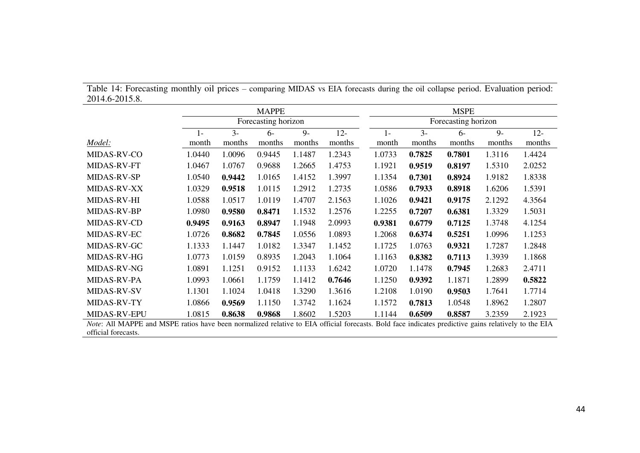|                                                                                                                                                     | <b>MAPPE</b>        |        |        |        |        |                     |        | <b>MSPE</b> |        |        |        |  |  |
|-----------------------------------------------------------------------------------------------------------------------------------------------------|---------------------|--------|--------|--------|--------|---------------------|--------|-------------|--------|--------|--------|--|--|
|                                                                                                                                                     | Forecasting horizon |        |        |        |        | Forecasting horizon |        |             |        |        |        |  |  |
|                                                                                                                                                     | $1 -$               | $3-$   | $6-$   | $9-$   | $12 -$ |                     | $1 -$  | $3 -$       | $6-$   | $9-$   | $12 -$ |  |  |
| Model:                                                                                                                                              | month               | months | months | months | months |                     | month  | months      | months | months | months |  |  |
| MIDAS-RV-CO                                                                                                                                         | 1.0440              | 1.0096 | 0.9445 | 1.1487 | 1.2343 |                     | 1.0733 | 0.7825      | 0.7801 | 1.3116 | 1.4424 |  |  |
| MIDAS-RV-FT                                                                                                                                         | 1.0467              | 1.0767 | 0.9688 | 1.2665 | 1.4753 |                     | 1.1921 | 0.9519      | 0.8197 | 1.5310 | 2.0252 |  |  |
| MIDAS-RV-SP                                                                                                                                         | 1.0540              | 0.9442 | 1.0165 | 1.4152 | 1.3997 |                     | 1.1354 | 0.7301      | 0.8924 | 1.9182 | 1.8338 |  |  |
| MIDAS-RV-XX                                                                                                                                         | 1.0329              | 0.9518 | 1.0115 | 1.2912 | 1.2735 |                     | 1.0586 | 0.7933      | 0.8918 | 1.6206 | 1.5391 |  |  |
| MIDAS-RV-HI                                                                                                                                         | 1.0588              | 1.0517 | 1.0119 | 1.4707 | 2.1563 |                     | 1.1026 | 0.9421      | 0.9175 | 2.1292 | 4.3564 |  |  |
| MIDAS-RV-BP                                                                                                                                         | 1.0980              | 0.9580 | 0.8471 | 1.1532 | 1.2576 |                     | 1.2255 | 0.7207      | 0.6381 | 1.3329 | 1.5031 |  |  |
| MIDAS-RV-CD                                                                                                                                         | 0.9495              | 0.9163 | 0.8947 | 1.1948 | 2.0993 |                     | 0.9381 | 0.6779      | 0.7125 | 1.3748 | 4.1254 |  |  |
| MIDAS-RV-EC                                                                                                                                         | 1.0726              | 0.8682 | 0.7845 | 1.0556 | 1.0893 |                     | 1.2068 | 0.6374      | 0.5251 | 1.0996 | 1.1253 |  |  |
| MIDAS-RV-GC                                                                                                                                         | 1.1333              | 1.1447 | 1.0182 | 1.3347 | 1.1452 |                     | 1.1725 | 1.0763      | 0.9321 | 1.7287 | 1.2848 |  |  |
| MIDAS-RV-HG                                                                                                                                         | 1.0773              | 1.0159 | 0.8935 | 1.2043 | 1.1064 |                     | 1.1163 | 0.8382      | 0.7113 | 1.3939 | 1.1868 |  |  |
| MIDAS-RV-NG                                                                                                                                         | 1.0891              | 1.1251 | 0.9152 | 1.1133 | 1.6242 |                     | 1.0720 | 1.1478      | 0.7945 | 1.2683 | 2.4711 |  |  |
| MIDAS-RV-PA                                                                                                                                         | 1.0993              | 1.0661 | 1.1759 | 1.1412 | 0.7646 |                     | 1.1250 | 0.9392      | 1.1871 | 1.2899 | 0.5822 |  |  |
| MIDAS-RV-SV                                                                                                                                         | 1.1301              | 1.1024 | 1.0418 | 1.3290 | 1.3616 |                     | 1.2108 | 1.0190      | 0.9503 | 1.7641 | 1.7714 |  |  |
| MIDAS-RV-TY                                                                                                                                         | 1.0866              | 0.9569 | 1.1150 | 1.3742 | 1.1624 |                     | 1.1572 | 0.7813      | 1.0548 | 1.8962 | 1.2807 |  |  |
| MIDAS-RV-EPU                                                                                                                                        | 1.0815              | 0.8638 | 0.9868 | 1.8602 | 1.5203 |                     | 1.1144 | 0.6509      | 0.8587 | 3.2359 | 2.1923 |  |  |
| Note: All MAPPE and MSPE ratios have been normalized relative to EIA official forecasts. Bold face indicates predictive gains relatively to the EIA |                     |        |        |        |        |                     |        |             |        |        |        |  |  |
| official forecasts.                                                                                                                                 |                     |        |        |        |        |                     |        |             |        |        |        |  |  |

Table 14: Forecasting monthly oil prices – comparing MIDAS vs EIA forecasts during the oil collapse period. Evaluation period: 2014.6-2015.8.

44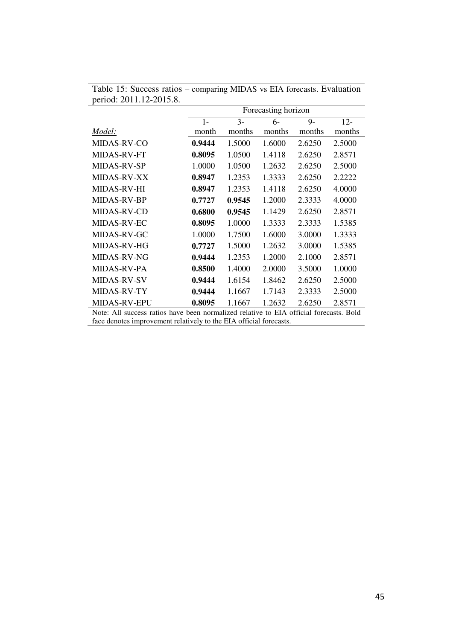|                                                                                        | Forecasting horizon |        |        |        |        |  |  |  |
|----------------------------------------------------------------------------------------|---------------------|--------|--------|--------|--------|--|--|--|
|                                                                                        | $1-$                | $3-$   | 6-     | $9-$   | $12 -$ |  |  |  |
| Model:                                                                                 | month               | months | months | months | months |  |  |  |
| <b>MIDAS-RV-CO</b>                                                                     | 0.9444              | 1.5000 | 1.6000 | 2.6250 | 2.5000 |  |  |  |
| MIDAS-RV-FT                                                                            | 0.8095              | 1.0500 | 1.4118 | 2.6250 | 2.8571 |  |  |  |
| <b>MIDAS-RV-SP</b>                                                                     | 1.0000              | 1.0500 | 1.2632 | 2.6250 | 2.5000 |  |  |  |
| MIDAS-RV-XX                                                                            | 0.8947              | 1.2353 | 1.3333 | 2.6250 | 2.2222 |  |  |  |
| <b>MIDAS-RV-HI</b>                                                                     | 0.8947              | 1.2353 | 1.4118 | 2.6250 | 4.0000 |  |  |  |
| MIDAS-RV-BP                                                                            | 0.7727              | 0.9545 | 1.2000 | 2.3333 | 4.0000 |  |  |  |
| MIDAS-RV-CD                                                                            | 0.6800              | 0.9545 | 1.1429 | 2.6250 | 2.8571 |  |  |  |
| MIDAS-RV-EC                                                                            | 0.8095              | 1.0000 | 1.3333 | 2.3333 | 1.5385 |  |  |  |
| MIDAS-RV-GC                                                                            | 1.0000              | 1.7500 | 1.6000 | 3.0000 | 1.3333 |  |  |  |
| MIDAS-RV-HG                                                                            | 0.7727              | 1.5000 | 1.2632 | 3.0000 | 1.5385 |  |  |  |
| MIDAS-RV-NG                                                                            | 0.9444              | 1.2353 | 1.2000 | 2.1000 | 2.8571 |  |  |  |
| MIDAS-RV-PA                                                                            | 0.8500              | 1.4000 | 2.0000 | 3.5000 | 1.0000 |  |  |  |
| <b>MIDAS-RV-SV</b>                                                                     | 0.9444              | 1.6154 | 1.8462 | 2.6250 | 2.5000 |  |  |  |
| MIDAS-RV-TY                                                                            | 0.9444              | 1.1667 | 1.7143 | 2.3333 | 2.5000 |  |  |  |
| MIDAS-RV-EPU                                                                           | 0.8095              | 1.1667 | 1.2632 | 2.6250 | 2.8571 |  |  |  |
| Note: All success ratios have been normalized relative to EIA official forecasts. Bold |                     |        |        |        |        |  |  |  |
| face denotes improvement relatively to the EIA official forecasts.                     |                     |        |        |        |        |  |  |  |

| Table 15: Success ratios – comparing MIDAS vs EIA forecasts. Evaluation |  |
|-------------------------------------------------------------------------|--|
| period: 2011.12-2015.8.                                                 |  |